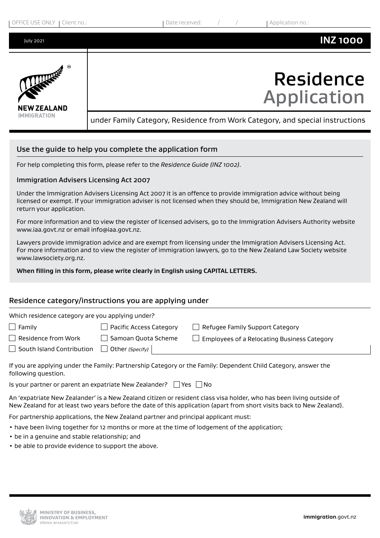

# Use the guide to help you complete the application form

For help completing this form, please refer to the *Residence Guide (INZ 1002)*.

# Immigration Advisers Licensing Act 2007

Under the Immigration Advisers Licensing Act 2007 it is an offence to provide immigration advice without being licensed or exempt. If your immigration adviser is not licensed when they should be, Immigration New Zealand will return your application.

For more information and to view the register of licensed advisers, go to the Immigration Advisers Authority website www.iaa.govt.nz or email info@iaa.govt.nz.

Lawyers provide immigration advice and are exempt from licensing under the Immigration Advisers Licensing Act. For more information and to view the register of immigration lawyers, go to the New Zealand Law Society website www.lawsociety.org.nz.

# **When filling in this form, please write clearly in English using CAPITAL LETTERS.**

# Residence category/instructions you are applying under

| Which residence category are you applying under? |                            |                                             |  |  |  |  |
|--------------------------------------------------|----------------------------|---------------------------------------------|--|--|--|--|
| $\Box$ Family                                    | Pacific Access Category    | Refugee Family Support Category             |  |  |  |  |
| Residence from Work                              | $\Box$ Samoan Quota Scheme | Employees of a Relocating Business Category |  |  |  |  |
| South Island Contribution                        | Other (Specify)            |                                             |  |  |  |  |
|                                                  |                            |                                             |  |  |  |  |

If you are applying under the Family: Partnership Category or the Family: Dependent Child Category, answer the following question.

Is your partner or parent an expatriate New Zealander?  $\Box$  Yes  $\Box$  No

An 'expatriate New Zealander' is a New Zealand citizen or resident class visa holder, who has been living outside of New Zealand for at least two years before the date of this application (apart from short visits back to New Zealand).

For partnership applications, the New Zealand partner and principal applicant must:

- have been living together for 12 months or more at the time of lodgement of the application;
- be in a genuine and stable relationship; and
- be able to provide evidence to support the above.

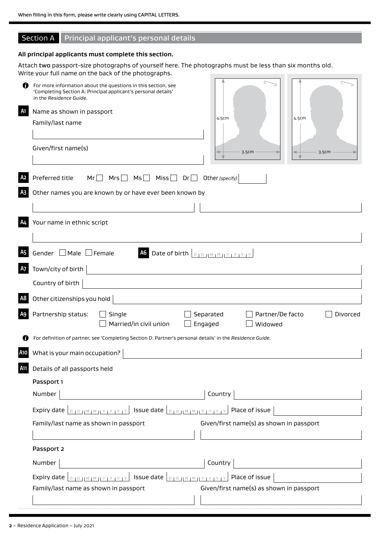# Section A Principal applicant's personal details

#### **All principal applicants must complete this section.**

Attach two passport-size photographs of yourself here. The photographs must be less than six months old. Write your full name on the back of the photographs.

| n<br>A1   | For more information about the questions in this section, see<br>'Completing Section A: Principal applicant's personal details'<br>in the Residence Guide.<br>Name as shown in passport<br>4.5cm<br>4.5cm<br>Family/last name                                                     |
|-----------|-----------------------------------------------------------------------------------------------------------------------------------------------------------------------------------------------------------------------------------------------------------------------------------|
|           | Given/first name(s)<br>3.5cm<br>3.5cm                                                                                                                                                                                                                                             |
|           | $Mrs$ $Msl$<br>Miss $\square$<br>Preferred title<br>Mr<br>Dr<br>Other (specify)<br>$\blacksquare$                                                                                                                                                                                 |
|           | Other names you are known by or have ever been known by                                                                                                                                                                                                                           |
| A4        | Your name in ethnic script                                                                                                                                                                                                                                                        |
| <b>A5</b> | Gender $\Box$ Male $\Box$ Female<br>A6 Date of birth <b>DID IMMIY IY IY IY</b>                                                                                                                                                                                                    |
| <b>A7</b> | Town/city of birth                                                                                                                                                                                                                                                                |
|           | Country of birth                                                                                                                                                                                                                                                                  |
| A8        | Other citizenships you hold                                                                                                                                                                                                                                                       |
| A9        | Partnership status:<br>Single<br>Partner/De facto<br>Separated<br>Divorced<br>Married/in civil union<br>Engaged<br>Widowed                                                                                                                                                        |
|           | For definition of partner, see 'Completing Section D: Partner's personal details' in the Residence Guide.                                                                                                                                                                         |
| A10       | What is your main occupation?                                                                                                                                                                                                                                                     |
| A11       | Details of all passports held                                                                                                                                                                                                                                                     |
|           | Passport 1                                                                                                                                                                                                                                                                        |
|           | Number<br>Country                                                                                                                                                                                                                                                                 |
|           | <b>DID IMIMIYIYIYIY</b> ISSUe date <b>DIDIMIMIYIYIYIY</b> Place of issue<br>Expiry date                                                                                                                                                                                           |
|           | Given/first name(s) as shown in passport<br>Family/last name as shown in passport                                                                                                                                                                                                 |
|           | Passport 2                                                                                                                                                                                                                                                                        |
|           | Country<br>Number                                                                                                                                                                                                                                                                 |
|           | $\left  \right $ Issue date $\left  \right _{\mathbb{D}_{1}\mathbb{D}_{1}^{1}\mathbb{M}_{1}\mathbb{M}_{1}^{1}\mathbb{M}_{1}\mathbb{M}_{1}^{1}\mathbb{M}_{1}\mathbb{M}_{1}^{1}}$<br>Place of issue<br>Expiry date<br>$D + D + H \otimes H \otimes H \otimes H \otimes H \otimes H$ |
|           | Given/first name(s) as shown in passport<br>Family/last name as shown in passport                                                                                                                                                                                                 |
|           |                                                                                                                                                                                                                                                                                   |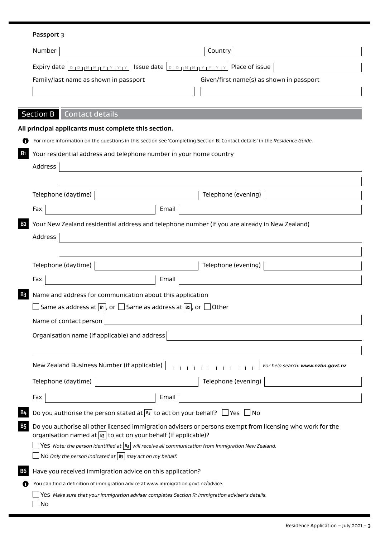# Passport 3

| Number                                |                                                                                                                                   | Country                                                                                                                   |
|---------------------------------------|-----------------------------------------------------------------------------------------------------------------------------------|---------------------------------------------------------------------------------------------------------------------------|
|                                       | Expiry date $\lceil_{D_1D_2 M_1M_1 Y_1Y_1Y_1Y_1Y}\rceil$ Issue date $\lceil_{D_1D_1 M_1M_1 Y_1Y_1Y_1Y_1Y_1}\rceil$ Place of issue |                                                                                                                           |
| Family/last name as shown in passport |                                                                                                                                   | Given/first name(s) as shown in passport                                                                                  |
|                                       |                                                                                                                                   |                                                                                                                           |
|                                       |                                                                                                                                   |                                                                                                                           |
| <b>Section B</b>                      | <b>Contact details</b>                                                                                                            |                                                                                                                           |
|                                       | All principal applicants must complete this section.                                                                              |                                                                                                                           |
| 69                                    |                                                                                                                                   | For more information on the questions in this section see 'Completing Section B: Contact details' in the Residence Guide. |
| <b>B1</b>                             | Your residential address and telephone number in your home country                                                                |                                                                                                                           |
| Address                               |                                                                                                                                   |                                                                                                                           |
|                                       |                                                                                                                                   |                                                                                                                           |
| Telephone (daytime)                   |                                                                                                                                   | Telephone (evening)                                                                                                       |
| Fax                                   | Email                                                                                                                             |                                                                                                                           |
| <b>B2</b>                             |                                                                                                                                   | Your New Zealand residential address and telephone number (if you are already in New Zealand)                             |
| Address                               |                                                                                                                                   |                                                                                                                           |
|                                       |                                                                                                                                   |                                                                                                                           |
| Telephone (daytime)                   |                                                                                                                                   | Telephone (evening)                                                                                                       |
| Fax                                   | Email                                                                                                                             |                                                                                                                           |
| <b>B3</b>                             | Name and address for communication about this application                                                                         |                                                                                                                           |
|                                       | $\Box$ Same as address at $\lbrack\mathbb{B}\rbrack$ , or $\Box$ Same as address at $\lbrack\mathbb{B}\rbrack$ , or $\Box$ Other  |                                                                                                                           |
| Name of contact person                |                                                                                                                                   |                                                                                                                           |
|                                       |                                                                                                                                   |                                                                                                                           |
|                                       | Organisation name (if applicable) and address                                                                                     |                                                                                                                           |
|                                       |                                                                                                                                   |                                                                                                                           |
|                                       | New Zealand Business Number (if applicable)                                                                                       | For help search: www.nzbn.govt.nz                                                                                         |
| Telephone (daytime)                   |                                                                                                                                   | Telephone (evening)                                                                                                       |
| Fax                                   | Email                                                                                                                             |                                                                                                                           |
|                                       | Do you authorise the person stated at $\boxed{B}$ to act on your behalf? $\boxed{\phantom{a}}$ Yes $\phantom{a}$                  | No                                                                                                                        |
| B5                                    | organisation named at $ B_3 $ to act on your behalf (if applicable)?                                                              | Do you authorise all other licensed immigration advisers or persons exempt from licensing who work for the                |
|                                       |                                                                                                                                   | Yes Note: the person identified at $\vert$ B <sub>3</sub> will receive all communication from Immigration New Zealand.    |
|                                       | NO Only the person indicated at $ B_3 $ may act on my behalf.                                                                     |                                                                                                                           |
|                                       | Have you received immigration advice on this application?                                                                         |                                                                                                                           |
|                                       | You can find a definition of immigration advice at www.immigration.govt.nz/advice.                                                |                                                                                                                           |
| No                                    | Yes Make sure that your immigration adviser completes Section R: Immigration adviser's details.                                   |                                                                                                                           |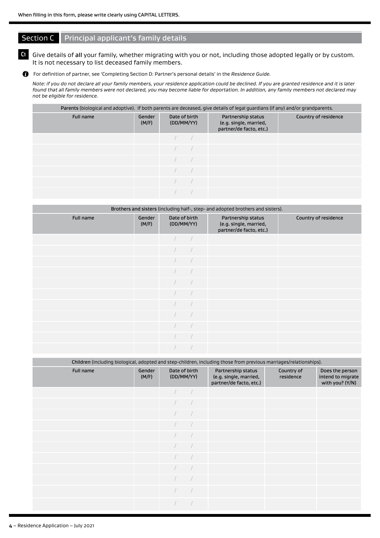# **Section C** Principal applicant's family details

# **C1** Give details of all your family, whether migrating with you or not, including those adopted legally or by custom. It is not necessary to list deceased family members.

For definition of partner, see 'Completing Section D: Partner's personal details' in the *Residence Guide.*

*Note: if you do not declare all your family members, your residence application could be declined. If you are granted residence and it is later found that all family members were not declared, you may become liable for deportation. In addition, any family members not declared may not be eligible for residence.*

#### Parents (biological and adoptive). If both parents are deceased, give details of legal guardians (if any) and/or grandparents.

| Full name | Gender<br>(M/F) | Date of birth<br>(DD/MM/YY) | Partnership status<br>(e.g. single, married,<br>partner/de facto, etc.) | Country of residence |
|-----------|-----------------|-----------------------------|-------------------------------------------------------------------------|----------------------|
|           |                 |                             |                                                                         |                      |
|           |                 |                             |                                                                         |                      |
|           |                 |                             |                                                                         |                      |
|           |                 |                             |                                                                         |                      |
|           |                 |                             |                                                                         |                      |
|           |                 |                             |                                                                         |                      |

| Brothers and sisters (including half-, step- and adopted brothers and sisters). |                 |                             |  |                                                                         |                      |  |  |  |  |  |
|---------------------------------------------------------------------------------|-----------------|-----------------------------|--|-------------------------------------------------------------------------|----------------------|--|--|--|--|--|
| Full name                                                                       | Gender<br>(M/F) | Date of birth<br>(DD/MM/YY) |  | Partnership status<br>(e.g. single, married,<br>partner/de facto, etc.) | Country of residence |  |  |  |  |  |
|                                                                                 |                 |                             |  |                                                                         |                      |  |  |  |  |  |
|                                                                                 |                 |                             |  |                                                                         |                      |  |  |  |  |  |
|                                                                                 |                 |                             |  |                                                                         |                      |  |  |  |  |  |
|                                                                                 |                 |                             |  |                                                                         |                      |  |  |  |  |  |
|                                                                                 |                 |                             |  |                                                                         |                      |  |  |  |  |  |
|                                                                                 |                 |                             |  |                                                                         |                      |  |  |  |  |  |
|                                                                                 |                 |                             |  |                                                                         |                      |  |  |  |  |  |
|                                                                                 |                 |                             |  |                                                                         |                      |  |  |  |  |  |
|                                                                                 |                 |                             |  |                                                                         |                      |  |  |  |  |  |
|                                                                                 |                 |                             |  |                                                                         |                      |  |  |  |  |  |
|                                                                                 |                 |                             |  |                                                                         |                      |  |  |  |  |  |

|           | Children (including biological, adopted and step-children, including those from previous marriages/relationships). |                             |  |                                                                         |                         |                                                         |  |  |  |  |
|-----------|--------------------------------------------------------------------------------------------------------------------|-----------------------------|--|-------------------------------------------------------------------------|-------------------------|---------------------------------------------------------|--|--|--|--|
| Full name | Gender<br>(M/F)                                                                                                    | Date of birth<br>(DD/MM/YY) |  | Partnership status<br>(e.g. single, married,<br>partner/de facto, etc.) | Country of<br>residence | Does the person<br>intend to migrate<br>with you? (Y/N) |  |  |  |  |
|           |                                                                                                                    |                             |  |                                                                         |                         |                                                         |  |  |  |  |
|           |                                                                                                                    |                             |  |                                                                         |                         |                                                         |  |  |  |  |
|           |                                                                                                                    |                             |  |                                                                         |                         |                                                         |  |  |  |  |
|           |                                                                                                                    |                             |  |                                                                         |                         |                                                         |  |  |  |  |
|           |                                                                                                                    |                             |  |                                                                         |                         |                                                         |  |  |  |  |
|           |                                                                                                                    |                             |  |                                                                         |                         |                                                         |  |  |  |  |
|           |                                                                                                                    |                             |  |                                                                         |                         |                                                         |  |  |  |  |
|           |                                                                                                                    |                             |  |                                                                         |                         |                                                         |  |  |  |  |
|           |                                                                                                                    |                             |  |                                                                         |                         |                                                         |  |  |  |  |
|           |                                                                                                                    |                             |  |                                                                         |                         |                                                         |  |  |  |  |
|           |                                                                                                                    |                             |  |                                                                         |                         |                                                         |  |  |  |  |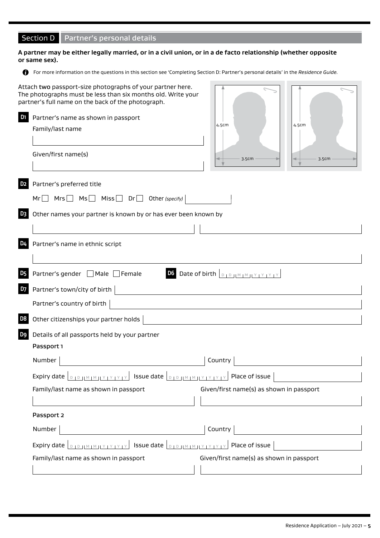# Section D | Partner's personal details

#### **A partner may be either legally married, or in a civil union, or in a de facto relationship (whether opposite or same sex).**

For more information on the questions in this section see 'Completing Section D: Partner's personal details' in the *Residence Guide.* 

| D <sub>1</sub> | Attach two passport-size photographs of your partner here.<br>The photographs must be less than six months old. Write your<br>partner's full name on the back of the photograph.<br>Partner's name as shown in passport<br>Family/last name<br>Given/first name(s) | 4.5cm<br>3.5cm                                             | 4.5cm<br>3.5cm |
|----------------|--------------------------------------------------------------------------------------------------------------------------------------------------------------------------------------------------------------------------------------------------------------------|------------------------------------------------------------|----------------|
| D <sub>2</sub> | Partner's preferred title                                                                                                                                                                                                                                          |                                                            |                |
|                | Mrs $MS$ Ms $MS$ Miss Dr Dr Other (specify)<br>Mr                                                                                                                                                                                                                  |                                                            |                |
| D <sub>3</sub> | Other names your partner is known by or has ever been known by                                                                                                                                                                                                     |                                                            |                |
|                |                                                                                                                                                                                                                                                                    |                                                            |                |
| D4             | Partner's name in ethnic script                                                                                                                                                                                                                                    |                                                            |                |
|                |                                                                                                                                                                                                                                                                    |                                                            |                |
| D <sub>5</sub> | Partner's gender □ Male □ Female                                                                                                                                                                                                                                   | D6 Date of birth $\boxed{D + D +  M + M  + Y + Y + Y + Y}$ |                |
| <b>D7</b>      | Partner's town/city of birth                                                                                                                                                                                                                                       |                                                            |                |
|                | Partner's country of birth                                                                                                                                                                                                                                         |                                                            |                |
| D <sub>8</sub> | Other citizenships your partner holds                                                                                                                                                                                                                              |                                                            |                |
| D9             | Details of all passports held by your partner                                                                                                                                                                                                                      |                                                            |                |
|                | Passport 1                                                                                                                                                                                                                                                         |                                                            |                |
|                | Number                                                                                                                                                                                                                                                             | Country                                                    |                |
|                | Expiry date $\boxed{\text{number of size}}$ Issue date $\boxed{\text{number of size}}$                                                                                                                                                                             |                                                            |                |
|                | Family/last name as shown in passport                                                                                                                                                                                                                              | Given/first name(s) as shown in passport                   |                |
|                |                                                                                                                                                                                                                                                                    |                                                            |                |
|                | Passport 2                                                                                                                                                                                                                                                         |                                                            |                |
|                | Number                                                                                                                                                                                                                                                             | Country                                                    |                |
|                | Expiry date $\lfloor_{\text{DIPHMMIVIVIV}}\rfloor$ Issue date $\lfloor_{\text{DIPHMMIVIVIVIV}}\rfloor$ Place of issue                                                                                                                                              |                                                            |                |
|                | Family/last name as shown in passport                                                                                                                                                                                                                              | Given/first name(s) as shown in passport                   |                |
|                |                                                                                                                                                                                                                                                                    |                                                            |                |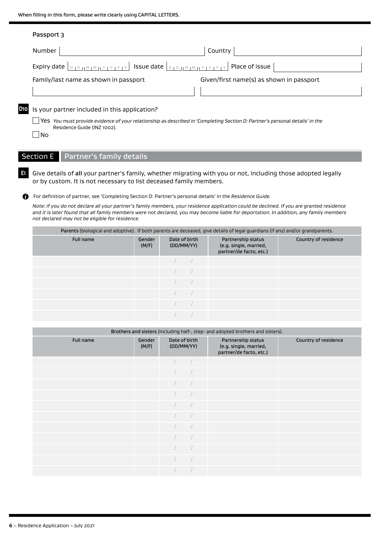|       | Passport 3                                                                                                                                                  |                                          |
|-------|-------------------------------------------------------------------------------------------------------------------------------------------------------------|------------------------------------------|
|       | <b>Number</b>                                                                                                                                               | Country                                  |
|       |                                                                                                                                                             |                                          |
|       | Family/last name as shown in passport                                                                                                                       | Given/first name(s) as shown in passport |
|       |                                                                                                                                                             |                                          |
| D10 I | Is your partner included in this application?                                                                                                               |                                          |
|       | Yes You must provide evidence of your relationship as described in 'Completing Section D: Partner's personal details' in the<br>Residence Guide (INZ 1002). |                                          |

# $\Box$ No

# Section E Partner's family details

**E1** Give details of all your partner's family, whether migrating with you or not, including those adopted legally or by custom. It is not necessary to list deceased family members.

For definition of partner, see 'Completing Section D: Partner's personal details' in the *Residence Guide.*

*Note: if you do not declare all your partner's family members, your residence application could be declined. If you are granted residence and it is later found that all family members were not declared, you may become liable for deportation. In addition, any family members not declared may not be eligible for residence.*

|           | Parents (biological and adoptive). If both parents are deceased, give details of legal guardians (if any) and/or grandparents. |                             |  |                                                                         |                      |  |  |  |  |
|-----------|--------------------------------------------------------------------------------------------------------------------------------|-----------------------------|--|-------------------------------------------------------------------------|----------------------|--|--|--|--|
| Full name | Gender<br>(M/F)                                                                                                                | Date of birth<br>(DD/MM/YY) |  | Partnership status<br>(e.g. single, married,<br>partner/de facto, etc.) | Country of residence |  |  |  |  |
|           |                                                                                                                                |                             |  |                                                                         |                      |  |  |  |  |
|           |                                                                                                                                |                             |  |                                                                         |                      |  |  |  |  |
|           |                                                                                                                                |                             |  |                                                                         |                      |  |  |  |  |
|           |                                                                                                                                |                             |  |                                                                         |                      |  |  |  |  |
|           |                                                                                                                                |                             |  |                                                                         |                      |  |  |  |  |
|           |                                                                                                                                |                             |  |                                                                         |                      |  |  |  |  |

| Brothers and sisters (including half-, step- and adopted brothers and sisters). |                 |                             |  |                                                                         |                      |  |  |  |  |
|---------------------------------------------------------------------------------|-----------------|-----------------------------|--|-------------------------------------------------------------------------|----------------------|--|--|--|--|
| Full name                                                                       | Gender<br>(M/F) | Date of birth<br>(DD/MM/YY) |  | Partnership status<br>(e.g. single, married,<br>partner/de facto, etc.) | Country of residence |  |  |  |  |
|                                                                                 |                 |                             |  |                                                                         |                      |  |  |  |  |
|                                                                                 |                 |                             |  |                                                                         |                      |  |  |  |  |
|                                                                                 |                 |                             |  |                                                                         |                      |  |  |  |  |
|                                                                                 |                 |                             |  |                                                                         |                      |  |  |  |  |
|                                                                                 |                 |                             |  |                                                                         |                      |  |  |  |  |
|                                                                                 |                 |                             |  |                                                                         |                      |  |  |  |  |
|                                                                                 |                 |                             |  |                                                                         |                      |  |  |  |  |
|                                                                                 |                 |                             |  |                                                                         |                      |  |  |  |  |
|                                                                                 |                 |                             |  |                                                                         |                      |  |  |  |  |
|                                                                                 |                 |                             |  |                                                                         |                      |  |  |  |  |
|                                                                                 |                 |                             |  |                                                                         |                      |  |  |  |  |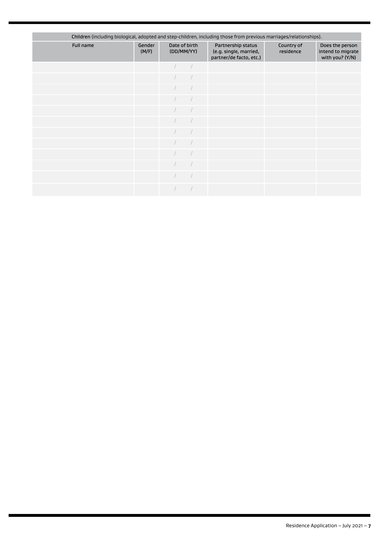| Children (including biological, adopted and step-children, including those from previous marriages/relationships). |                 |  |                             |                                                                         |                         |                                                         |  |  |  |
|--------------------------------------------------------------------------------------------------------------------|-----------------|--|-----------------------------|-------------------------------------------------------------------------|-------------------------|---------------------------------------------------------|--|--|--|
| Full name                                                                                                          | Gender<br>(M/F) |  | Date of birth<br>(DD/MM/YY) | Partnership status<br>(e.g. single, married,<br>partner/de facto, etc.) | Country of<br>residence | Does the person<br>intend to migrate<br>with you? (Y/N) |  |  |  |
|                                                                                                                    |                 |  |                             |                                                                         |                         |                                                         |  |  |  |
|                                                                                                                    |                 |  |                             |                                                                         |                         |                                                         |  |  |  |
|                                                                                                                    |                 |  |                             |                                                                         |                         |                                                         |  |  |  |
|                                                                                                                    |                 |  |                             |                                                                         |                         |                                                         |  |  |  |
|                                                                                                                    |                 |  |                             |                                                                         |                         |                                                         |  |  |  |
|                                                                                                                    |                 |  |                             |                                                                         |                         |                                                         |  |  |  |
|                                                                                                                    |                 |  |                             |                                                                         |                         |                                                         |  |  |  |
|                                                                                                                    |                 |  |                             |                                                                         |                         |                                                         |  |  |  |
|                                                                                                                    |                 |  |                             |                                                                         |                         |                                                         |  |  |  |
|                                                                                                                    |                 |  |                             |                                                                         |                         |                                                         |  |  |  |
|                                                                                                                    |                 |  |                             |                                                                         |                         |                                                         |  |  |  |
|                                                                                                                    |                 |  |                             |                                                                         |                         |                                                         |  |  |  |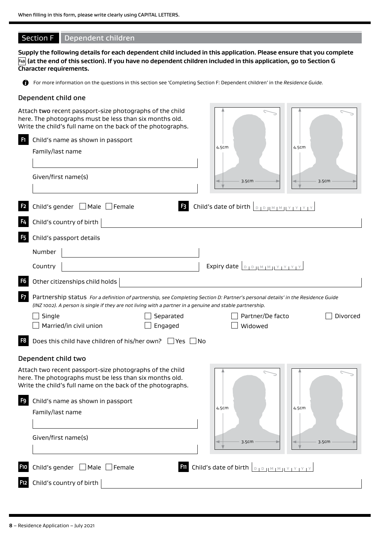# Section F Dependent children

**Supply the following details for each dependent child included in this application. Please ensure that you complete F49 (at the end of this section). If you have no dependent children included in this application, go to Section G Character requirements.**

For more information on the questions in this section see 'Completing Section F: Dependent children' in the *Residence Guide.*

#### Dependent child one

|                | Attach two recent passport-size photographs of the child<br>here. The photographs must be less than six months old.<br>Write the child's full name on the back of the photographs.                                                            |       |                                                                                                                                                                                                                                                                                                                                                                                                                  |       |          |
|----------------|-----------------------------------------------------------------------------------------------------------------------------------------------------------------------------------------------------------------------------------------------|-------|------------------------------------------------------------------------------------------------------------------------------------------------------------------------------------------------------------------------------------------------------------------------------------------------------------------------------------------------------------------------------------------------------------------|-------|----------|
| $\mathbf{F}$   | Child's name as shown in passport<br>Family/last name                                                                                                                                                                                         | 4.5cm |                                                                                                                                                                                                                                                                                                                                                                                                                  | 4.5cm |          |
|                | Given/first name(s)                                                                                                                                                                                                                           |       | 3.5cm                                                                                                                                                                                                                                                                                                                                                                                                            |       | 3.5cm    |
|                | $\Box$ Male $\Box$ Female<br>Child's gender<br>F <sub>3</sub>                                                                                                                                                                                 |       | Child's date of birth <b>DIDIMMIY YEY</b>                                                                                                                                                                                                                                                                                                                                                                        |       |          |
| F4             | Child's country of birth                                                                                                                                                                                                                      |       |                                                                                                                                                                                                                                                                                                                                                                                                                  |       |          |
| F <sub>5</sub> | Child's passport details                                                                                                                                                                                                                      |       |                                                                                                                                                                                                                                                                                                                                                                                                                  |       |          |
|                | Number                                                                                                                                                                                                                                        |       |                                                                                                                                                                                                                                                                                                                                                                                                                  |       |          |
|                | Country                                                                                                                                                                                                                                       |       | Expiry date $\left[ \begin{array}{c} \text{D} & \text{D} & \text{D} & \text{D} & \text{D} & \text{D} & \text{D} & \text{D} & \text{D} & \text{D} & \text{D} & \text{D} & \text{D} & \text{D} & \text{D} & \text{D} & \text{D} & \text{D} & \text{D} & \text{D} & \text{D} & \text{D} & \text{D} & \text{D} & \text{D} & \text{D} & \text{D} & \text{D} & \text{D} & \text{D} & \text{D} & \text{D} & \text{D} &$ |       |          |
| F <sub>6</sub> | Other citizenships child holds                                                                                                                                                                                                                |       |                                                                                                                                                                                                                                                                                                                                                                                                                  |       |          |
| F <sub>7</sub> | Partnership status For a definition of partnership, see Completing Section D: Partner's personal details' in the Residence Guide<br>(INZ 1002). A person is single if they are not living with a partner in a genuine and stable partnership. |       |                                                                                                                                                                                                                                                                                                                                                                                                                  |       |          |
|                | Single<br>Separated                                                                                                                                                                                                                           |       | Partner/De facto                                                                                                                                                                                                                                                                                                                                                                                                 |       | Divorced |
|                | Married/in civil union<br>Engaged                                                                                                                                                                                                             |       | Widowed                                                                                                                                                                                                                                                                                                                                                                                                          |       |          |
| F8             | Does this child have children of his/her own? $\Box$ Yes $\Box$ No                                                                                                                                                                            |       |                                                                                                                                                                                                                                                                                                                                                                                                                  |       |          |
|                | Dependent child two                                                                                                                                                                                                                           |       |                                                                                                                                                                                                                                                                                                                                                                                                                  |       |          |
|                | Attach two recent passport-size photographs of the child<br>here. The photographs must be less than six months old.<br>Write the child's full name on the back of the photographs.                                                            |       |                                                                                                                                                                                                                                                                                                                                                                                                                  |       |          |
| F9             | Child's name as shown in passport                                                                                                                                                                                                             |       |                                                                                                                                                                                                                                                                                                                                                                                                                  |       |          |
|                | Family/last name                                                                                                                                                                                                                              | 4.5cm |                                                                                                                                                                                                                                                                                                                                                                                                                  | 4.5cm |          |
|                | Given/first name(s)                                                                                                                                                                                                                           |       | 3.5cm                                                                                                                                                                                                                                                                                                                                                                                                            |       | 3.5cm    |
| F10            | Child's gender $\Box$ Male $\Box$ Female                                                                                                                                                                                                      |       | <b>Filichild's date of birth DIDJMMIY IY IY IY</b>                                                                                                                                                                                                                                                                                                                                                               |       |          |
| F12            | Child's country of birth                                                                                                                                                                                                                      |       |                                                                                                                                                                                                                                                                                                                                                                                                                  |       |          |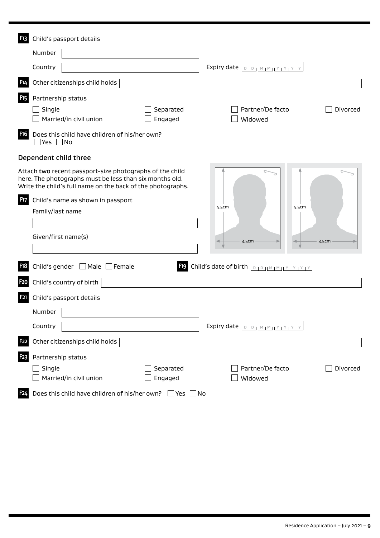| <b>F13</b>       | Child's passport details                                                                                                                                                           |                                                                 |
|------------------|------------------------------------------------------------------------------------------------------------------------------------------------------------------------------------|-----------------------------------------------------------------|
|                  | Number                                                                                                                                                                             |                                                                 |
|                  | Country                                                                                                                                                                            | Expiry date $\left[ \begin{array}{c} B & D \end{array} \right]$ |
| F14              | Other citizenships child holds                                                                                                                                                     |                                                                 |
| F <sub>15</sub>  | Partnership status                                                                                                                                                                 |                                                                 |
|                  | Single<br>Separated<br>Married/in civil union<br>Engaged                                                                                                                           | Partner/De facto<br>Divorced<br>Widowed                         |
| F <sub>16</sub>  | Does this child have children of his/her own?<br>]Yes □No                                                                                                                          |                                                                 |
|                  | Dependent child three                                                                                                                                                              |                                                                 |
|                  | Attach two recent passport-size photographs of the child<br>here. The photographs must be less than six months old.<br>Write the child's full name on the back of the photographs. |                                                                 |
| F <sub>17</sub>  | Child's name as shown in passport                                                                                                                                                  |                                                                 |
|                  | Family/last name                                                                                                                                                                   | 4.5cm<br>4.5cm                                                  |
|                  | Given/first name(s)                                                                                                                                                                | 3.5cm<br>3.5cm                                                  |
| <b>F18</b>       | Child's gender ■ Male ■ Female                                                                                                                                                     | Fig. Child's date of birth <b>DIDIMMIY IY IY</b>                |
| F <sub>2</sub> O | Child's country of birth                                                                                                                                                           |                                                                 |
| F21              | Child's passport details                                                                                                                                                           |                                                                 |
|                  | Number                                                                                                                                                                             |                                                                 |
|                  | Country                                                                                                                                                                            | Expiry date $\boxed{D, D,  M,  M ,  Y ,  Y ,  Y ,  Y }$         |
| <b>F22</b>       | Other citizenships child holds                                                                                                                                                     |                                                                 |
| F <sub>23</sub>  | Partnership status                                                                                                                                                                 |                                                                 |
|                  | Single<br>Separated<br>Married/in civil union<br>Engaged                                                                                                                           | Partner/De facto<br>Divorced<br>Widowed                         |
| <b>F24</b>       | Does this child have children of his/her own? Ves No                                                                                                                               |                                                                 |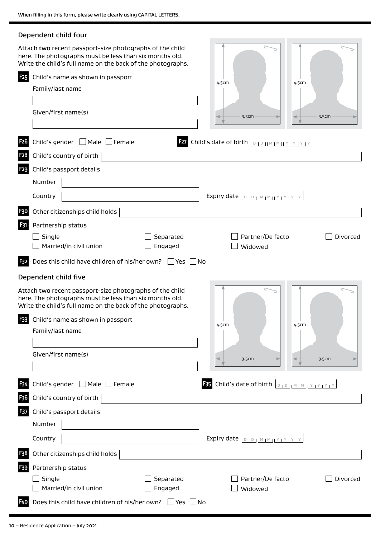|                  | Dependent child four                                                                                                                                                               |                                                                          |          |
|------------------|------------------------------------------------------------------------------------------------------------------------------------------------------------------------------------|--------------------------------------------------------------------------|----------|
|                  | Attach two recent passport-size photographs of the child<br>here. The photographs must be less than six months old.<br>Write the child's full name on the back of the photographs. |                                                                          |          |
| <b>F25</b>       | Child's name as shown in passport                                                                                                                                                  |                                                                          |          |
|                  | Family/last name                                                                                                                                                                   | 4.5cm<br>4.5cm                                                           |          |
|                  |                                                                                                                                                                                    |                                                                          |          |
|                  | Given/first name(s)                                                                                                                                                                | 3.5cm                                                                    | 3.5cm    |
|                  |                                                                                                                                                                                    |                                                                          |          |
| F <sub>26</sub>  | Child's gender $\Box$ Male $\Box$ Female                                                                                                                                           | <b>E27</b> Child's date of birth $\boxed{D + D + M + M + Y + Y + Y + Y}$ |          |
| F <sub>2</sub> 8 | Child's country of birth                                                                                                                                                           |                                                                          |          |
| <b>F29</b>       | Child's passport details                                                                                                                                                           |                                                                          |          |
|                  | Number                                                                                                                                                                             |                                                                          |          |
|                  | Country                                                                                                                                                                            | Expiry date $\boxed{D, D,  M,  M ,  Y ,  Y ,  Y }$                       |          |
| <b>F30</b>       | Other citizenships child holds                                                                                                                                                     |                                                                          |          |
| F31              | Partnership status                                                                                                                                                                 |                                                                          |          |
|                  | Single<br>Separated                                                                                                                                                                | Partner/De facto                                                         | Divorced |
|                  | Married/in civil union<br>Engaged                                                                                                                                                  | Widowed                                                                  |          |
| <b>F32</b>       | Does this child have children of his/her own? $\Box$ Yes $\Box$ No                                                                                                                 |                                                                          |          |
|                  | Dependent child five                                                                                                                                                               |                                                                          |          |
|                  | Attach two recent passport-size photographs of the child<br>here. The photographs must be less than six months old.<br>Write the child's full name on the back of the photographs. |                                                                          |          |
|                  | <b>33</b> Child's name as shown in passport                                                                                                                                        |                                                                          |          |
|                  | Family/last name                                                                                                                                                                   | 4.5cm<br>4.5cm                                                           |          |
|                  |                                                                                                                                                                                    |                                                                          |          |
|                  | Given/first name(s)                                                                                                                                                                | 3.5cm                                                                    | 3.5cm    |
|                  |                                                                                                                                                                                    |                                                                          |          |
| <b>F34</b>       | Child's gender <sub>I</sub> Male Female                                                                                                                                            | <b>B3</b> Child's date of birth <b>DOMMMUY IY IY</b>                     |          |
| F36              | Child's country of birth $ $                                                                                                                                                       |                                                                          |          |
| F <sub>37</sub>  | Child's passport details                                                                                                                                                           |                                                                          |          |
|                  | Number                                                                                                                                                                             |                                                                          |          |
|                  | Country                                                                                                                                                                            | Expiry date $\boxed{D, D,  M,  M ,  Y ,  Y ,  Y }$                       |          |
| F38              | Other citizenships child holds                                                                                                                                                     |                                                                          |          |
| F39              | Partnership status                                                                                                                                                                 |                                                                          |          |
|                  | Single<br>Separated                                                                                                                                                                | Partner/De facto                                                         | Divorced |
|                  | Married/in civil union<br>Engaged                                                                                                                                                  | Widowed                                                                  |          |
| <b>F40</b>       | Does this child have children of his/her own? $\Box$ Yes $\Box$ No                                                                                                                 |                                                                          |          |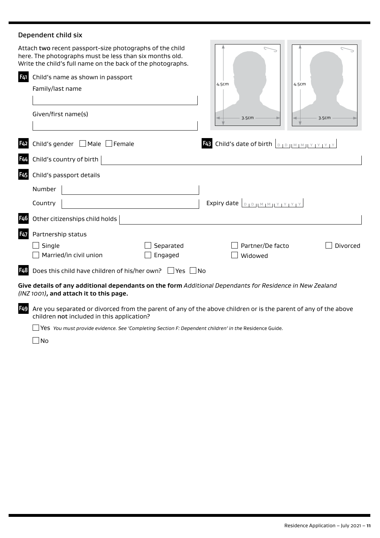# Dependent child six

|                  | Attach two recent passport-size photographs of the child<br>here. The photographs must be less than six months old.<br>Write the child's full name on the back of the photographs. |           |       |                                                         |          |
|------------------|------------------------------------------------------------------------------------------------------------------------------------------------------------------------------------|-----------|-------|---------------------------------------------------------|----------|
| F41              | Child's name as shown in passport                                                                                                                                                  |           |       |                                                         |          |
|                  | Family/last name                                                                                                                                                                   |           | 4.5cm |                                                         | 4.5cm    |
|                  | Given/first name(s)                                                                                                                                                                |           |       | 3.5cm                                                   | 3.5cm    |
| F <sub>42</sub>  | Child's gender □ Male □ Female                                                                                                                                                     |           |       | <b>F43</b> Child's date of birth <b>DED IMMITY PYPY</b> |          |
| F <sub>44</sub>  | Child's country of birth                                                                                                                                                           |           |       |                                                         |          |
| <b>F45</b>       | Child's passport details                                                                                                                                                           |           |       |                                                         |          |
|                  | Number                                                                                                                                                                             |           |       |                                                         |          |
|                  | Country                                                                                                                                                                            |           |       | Expiry date <b>DIDIMMIY</b>                             |          |
| F <sub>4</sub> 6 | Other citizenships child holds                                                                                                                                                     |           |       |                                                         |          |
| <b>F47</b>       | Partnership status                                                                                                                                                                 |           |       |                                                         |          |
|                  | Single                                                                                                                                                                             | Separated |       | Partner/De facto                                        | Divorced |
|                  | Married/in civil union                                                                                                                                                             | Engaged   |       | Widowed                                                 |          |
| F48              | Does this child have children of his/her own? $\Box$ Yes $\Box$ No                                                                                                                 |           |       |                                                         |          |
|                  | Give details of any additional dependants on the form Additional Dependants for Residence in New Zealand<br>(INZ 1001), and attach it to this page.                                |           |       |                                                         |          |
| F <sub>49</sub>  | Are you separated or divorced from the parent of any of the above children or is the parent of any of the above<br>children not included in this application?                      |           |       |                                                         |          |

□ Yes *You must provide evidence. See 'Completing Section F: Dependent children' in the Residence Guide.* 

 $\square$ No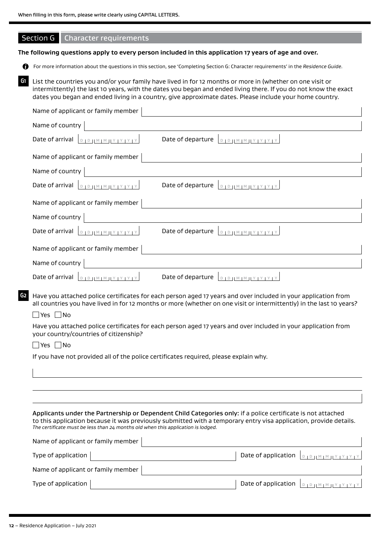# Section G Character requirements

#### **The following questions apply to every person included in this application 17 years of age and over.**

For more information about the questions in this section, see 'Completing Section G: Character requirements' in the *Residence Guide*.

**G1** List the countries you and/or your family have lived in for 12 months or more in (whether on one visit or intermittently) the last 10 years, with the dates you began and ended living there. If you do not know the exact dates you began and ended living in a country, give approximate dates. Please include your home country.

|    | Name of applicant or family member                                                                                                                                                                                                                                                                                    |
|----|-----------------------------------------------------------------------------------------------------------------------------------------------------------------------------------------------------------------------------------------------------------------------------------------------------------------------|
|    | Name of country                                                                                                                                                                                                                                                                                                       |
|    | Date of departure<br>Date of arrival<br>$D + D + H \leq M + M + Y + Y + Y$                                                                                                                                                                                                                                            |
|    | Name of applicant or family member                                                                                                                                                                                                                                                                                    |
|    | Name of country                                                                                                                                                                                                                                                                                                       |
|    | $D + D + M + M + Y + Y + Y + Y$<br>Date of departure<br>Date of arrival<br>$D D D H M M H Y Y Y Y Y Y$                                                                                                                                                                                                                |
|    | Name of applicant or family member                                                                                                                                                                                                                                                                                    |
|    | Name of country                                                                                                                                                                                                                                                                                                       |
|    | Date of arrival<br>Date of departure $\boxed{D, D,  M,  M ,  Y ,  Y ,  Y }$                                                                                                                                                                                                                                           |
|    | Name of applicant or family member                                                                                                                                                                                                                                                                                    |
|    | Name of country                                                                                                                                                                                                                                                                                                       |
|    | Date of arrival $\left[ \begin{array}{c} D & D & M \end{array} \right]$                                                                                                                                                                                                                                               |
| G2 | Have you attached police certificates for each person aged 17 years and over included in your application from<br>all countries you have lived in for 12 months or more (whether on one visit or intermittently) in the last 10 years?                                                                                |
|    | _ Yes □No                                                                                                                                                                                                                                                                                                             |
|    | Have you attached police certificates for each person aged 17 years and over included in your application from<br>your country/countries of citizenship?                                                                                                                                                              |
|    | No<br>Yes                                                                                                                                                                                                                                                                                                             |
|    | If you have not provided all of the police certificates required, please explain why.                                                                                                                                                                                                                                 |
|    |                                                                                                                                                                                                                                                                                                                       |
|    |                                                                                                                                                                                                                                                                                                                       |
|    |                                                                                                                                                                                                                                                                                                                       |
|    | Applicants under the Partnership or Dependent Child Categories only: if a police certificate is not attached<br>to this application because it was previously submitted with a temporary entry visa application, provide details.<br>The certificate must be less than 24 months old when this application is lodged. |
|    | Name of applicant or family member                                                                                                                                                                                                                                                                                    |

| Type of application $ $            | Date of application $ _{\text{DIPHM} \text{HMTY} \text{HFTY}} $            |
|------------------------------------|----------------------------------------------------------------------------|
| Name of applicant or family member |                                                                            |
| Type of application $ $            | Date of application $ _{\text{DIPHMM} \times \text{HY} \times \text{HY}} $ |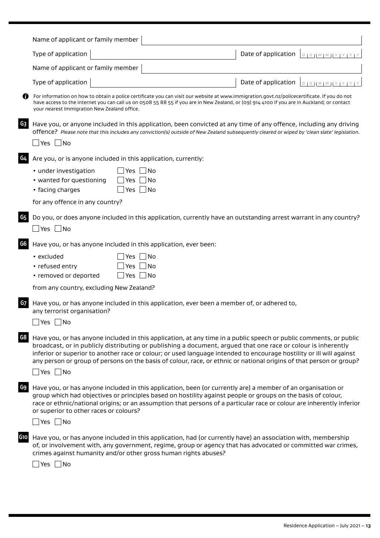|     | Name of applicant or family member                                                                                                                                                                                                                                                                                                                                                                                                                                                                         |                                                        |
|-----|------------------------------------------------------------------------------------------------------------------------------------------------------------------------------------------------------------------------------------------------------------------------------------------------------------------------------------------------------------------------------------------------------------------------------------------------------------------------------------------------------------|--------------------------------------------------------|
|     | Type of application                                                                                                                                                                                                                                                                                                                                                                                                                                                                                        | Date of application<br>$D + D + M + M + Y + Y + Y + Y$ |
|     | Name of applicant or family member                                                                                                                                                                                                                                                                                                                                                                                                                                                                         |                                                        |
|     | Type of application                                                                                                                                                                                                                                                                                                                                                                                                                                                                                        | Date of application<br>PIP IM IM IY IY IY IY           |
|     | For information on how to obtain a police certificate you can visit our website at www.immigration.govt.nz/policecertificate. If you do not<br>have access to the internet you can call us on 0508 55 88 55 if you are in New Zealand, or (09) 914 4100 if you are in Auckland; or contact<br>your nearest Immigration New Zealand office.                                                                                                                                                                 |                                                        |
| G3  | Have you, or anyone included in this application, been convicted at any time of any offence, including any driving<br>offence? Please note that this includes any conviction(s) outside of New Zealand subsequently cleared or wiped by 'clean slate' legislation.<br>Yes $\Box$ No                                                                                                                                                                                                                        |                                                        |
| G4  | Are you, or is anyone included in this application, currently:                                                                                                                                                                                                                                                                                                                                                                                                                                             |                                                        |
|     | • under investigation<br>_  No<br>Yes<br>• wanted for questioning<br>∣No<br>Yes<br>Yes $\Box$ No<br>• facing charges                                                                                                                                                                                                                                                                                                                                                                                       |                                                        |
|     | for any offence in any country?                                                                                                                                                                                                                                                                                                                                                                                                                                                                            |                                                        |
| G5  | Do you, or does anyone included in this application, currently have an outstanding arrest warrant in any country?<br>$Yes \Box No$                                                                                                                                                                                                                                                                                                                                                                         |                                                        |
| G6  | Have you, or has anyone included in this application, ever been:                                                                                                                                                                                                                                                                                                                                                                                                                                           |                                                        |
|     | ∐No<br>• excluded<br>Yes<br>• refused entry<br>∃No<br>Yes<br>• removed or deported<br>Yes $\Box$ No                                                                                                                                                                                                                                                                                                                                                                                                        |                                                        |
|     | from any country, excluding New Zealand?                                                                                                                                                                                                                                                                                                                                                                                                                                                                   |                                                        |
| G7  | Have you, or has anyone included in this application, ever been a member of, or adhered to,<br>any terrorist organisation?<br>$\Box$ Yes $\Box$ No                                                                                                                                                                                                                                                                                                                                                         |                                                        |
| G8  | Have you, or has anyone included in this application, at any time in a public speech or public comments, or public<br>broadcast, or in publicly distributing or publishing a document, argued that one race or colour is inherently<br>inferior or superior to another race or colour; or used language intended to encourage hostility or ill will against<br>any person or group of persons on the basis of colour, race, or ethnic or national origins of that person or group?<br>$\Box$ Yes $\Box$ No |                                                        |
| G9  | Have you, or has anyone included in this application, been (or currently are) a member of an organisation or<br>group which had objectives or principles based on hostility against people or groups on the basis of colour,<br>race or ethnic/national origins; or an assumption that persons of a particular race or colour are inherently inferior<br>or superior to other races or colours?<br>$\Box$ Yes $\Box$ No                                                                                    |                                                        |
| G10 | Have you, or has anyone included in this application, had (or currently have) an association with, membership<br>of, or involvement with, any government, regime, group or agency that has advocated or committed war crimes,<br>crimes against humanity and/or other gross human rights abuses?<br>_ Yes  __ No                                                                                                                                                                                           |                                                        |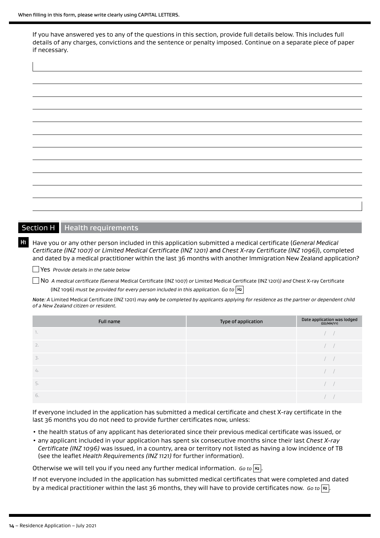$\overline{\phantom{a}}$ 

If you have answered yes to any of the questions in this section, provide full details below. This includes full details of any charges, convictions and the sentence or penalty imposed. Continue on a separate piece of paper if necessary.

| $\overline{\phantom{a}}$ | $\overline{\phantom{0}}$ |
|--------------------------|--------------------------|
|                          |                          |
|                          |                          |
|                          |                          |
|                          |                          |
|                          |                          |
|                          |                          |
|                          |                          |
|                          |                          |
|                          |                          |
|                          |                          |
|                          |                          |
|                          |                          |
|                          |                          |
|                          |                          |
|                          |                          |
|                          |                          |
|                          |                          |
|                          |                          |
|                          |                          |
|                          |                          |
|                          |                          |
|                          |                          |
|                          |                          |
|                          |                          |
|                          |                          |
|                          |                          |
|                          |                          |
|                          |                          |
|                          |                          |
|                          |                          |
|                          |                          |
|                          |                          |
|                          |                          |
|                          |                          |
|                          |                          |
|                          |                          |
|                          |                          |
|                          |                          |
|                          |                          |
|                          |                          |
|                          |                          |
|                          |                          |
|                          |                          |
|                          |                          |
|                          |                          |

## Section H Health requirements

**H1** Have you or any other person included in this application submitted a medical certificate (*General Medical Certificate (INZ 1007)* or *Limited Medical Certificate (INZ 1201)* and *Chest X-ray Certificate (INZ 1096)*), completed and dated by a medical practitioner within the last 36 months with another Immigration New Zealand application?

Yes *Provide details in the table below* 

No *A medical certificate (*General Medical Certificate (INZ 1007) *or* Limited Medical Certificate (INZ 1201)*) and* Chest X-ray Certificate (INZ 1096) *must be provided for every person included in this application. Go to* **H2**

*Note: A* Limited Medical Certificate (INZ 1201) *may only be completed by applicants applying for residence as the partner or dependent child of a New Zealand citizen or resident.*

| Full name        | Type of application | Date application was lodged<br>(DD/MM/YY) |
|------------------|---------------------|-------------------------------------------|
| $\mathbb{R}$     |                     |                                           |
| 2.               |                     |                                           |
| $\overline{3}$ . |                     |                                           |
| 4.               |                     |                                           |
|                  |                     |                                           |
| 6.               |                     |                                           |

If everyone included in the application has submitted a medical certificate and chest X-ray certificate in the last 36 months you do not need to provide further certificates now, unless:

- the health status of any applicant has deteriorated since their previous medical certificate was issued, or
- any applicant included in your application has spent six consecutive months since their last *Chest X-ray Certificate (INZ 1096)* was issued, in a country, area or territory not listed as having a low incidence of TB (see the leaflet *Health Requirements (INZ 1121)* for further information).

Otherwise we will tell you if you need any further medical information. *Go to* **H2** .

If not everyone included in the application has submitted medical certificates that were completed and dated by a medical practitioner within the last 36 months, they will have to provide certificates now. *Go to* **H2** .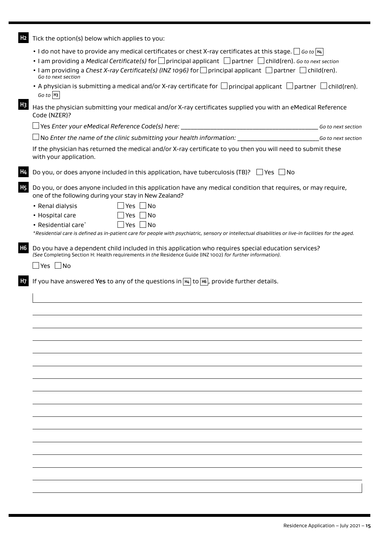**H2** Tick the option(s) below which applies to you:

• I do not have to provide any medical certificates or chest X-ray certificates at this stage.  $\Box$  Go to  $\overline{H4}$ 

- I am providing a *Medical Certificate(s)* for principal applicant partner child(ren). *Go to next section*
- I am providing a *Chest X-ray Certificate(s) (INZ 1096)* for  $\Box$  principal applicant  $\Box$  partner  $\Box$  child(ren). *Go to next section*
- A physician is submitting a medical and/or X-ray certificate for  $\Box$  principal applicant  $\Box$  partner  $\Box$  child(ren). *Go to* **H3**

**H3** Has the physician submitting your medical and/or X-ray certificates supplied you with an eMedical Reference Code (NZER)?

Yes *Enter your eMedical Reference Code(s) here:* \_\_\_\_\_\_\_\_\_\_\_\_\_\_\_\_\_\_\_\_\_\_\_\_\_\_\_\_\_\_\_\_\_\_\_\_\_\_\_\_\_\_ *Go to next section*

No *Enter the name of the clinic submitting your health information:* \_\_\_\_\_\_\_\_\_\_\_\_\_\_\_\_\_\_\_\_\_\_\_\_\_*Go to next section*

If the physician has returned the medical and/or X-ray certificate to you then you will need to submit these with your application.

Do you, or does anyone included in this application, have tuberculosis (TB)?  $\Box$  Yes  $\Box$  No

**H5** Do you, or does anyone included in this application have any medical condition that requires, or may require, one of the following during your stay in New Zealand?

- Renal dialysis  $\Box$  Yes  $\Box$  No • Hospital care  $\Box$  Yes  $\Box$  No
- Residential care\* $\Box$  Yes  $\Box$  No

*\*Residential care is defined as in-patient care for people with psychiatric, sensory or intellectual disabilities or live-in facilities for the aged.* 

**H6** Do you have a dependent child included in this application who requires special education services? *(See* Completing Section H: Health requirements *in the* Residence Guide (INZ 1002) *for further information).*

 $\Box$  Yes  $\Box$  No

**H7** If you have answered Yes to any of the questions in **H4** to **H6** , provide further details.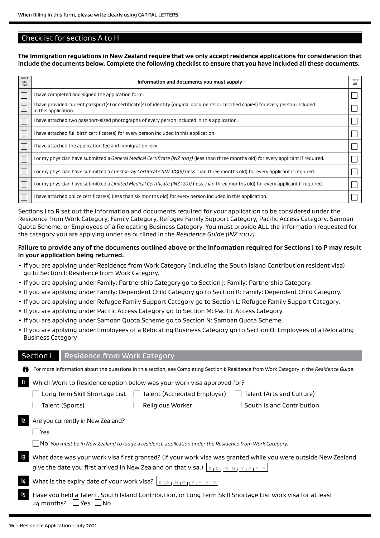## Checklist for sections A to H

**The Immigration regulations in New Zealand require that we only accept residence applications for consideration that include the documents below. Complete the following checklist to ensure that you have included all these documents.**

| OFFICE<br><b>USE</b><br>ONLY | Information and documents you must supply                                                                                                                    | CHECK<br><b>LIST</b> |
|------------------------------|--------------------------------------------------------------------------------------------------------------------------------------------------------------|----------------------|
|                              | I have completed and signed the application form.                                                                                                            |                      |
|                              | l have provided current passport(s) or certificate(s) of identity (original documents or certified copies) for every person included<br>in this application. |                      |
|                              | I have attached two passport-sized photographs of every person included in this application.                                                                 |                      |
|                              | I have attached full birth certificate(s) for every person included in this application.                                                                     |                      |
|                              | I have attached the application fee and immigration levy                                                                                                     |                      |
|                              | l or my physician have submitted a <i>General Medical Certificate (INZ 1007)</i> (less than three months old) for every applicant if required.               |                      |
|                              | l or my physician have submitted a Chest X-ray Certificate (INZ 1096) (less than three months old) for every applicant if required.                          |                      |
|                              | l or my physician have submitted a <i>Limited Medical Certificate (INZ 1201)</i> (less than three months old) for every applicant if required.               |                      |
|                              | l have attached police certificate(s) (less than six months old) for every person included in this application.                                              |                      |

Sections I to R set out the information and documents required for your application to be considered under the Residence from Work Category, Family Category, Refugee Family Support Category, Pacific Access Category, Samoan Quota Scheme, or Employees of a Relocating Business Category. You must provide ALL the information requested for the category you are applying under as outlined in the *Residence Guide (INZ 1002)*.

#### **Failure to provide any of the documents outlined above or the information required for Sections J to P may result in your application being returned.**

- If you are applying under Residence from Work Category (including the South Island Contribution resident visa) go to Section I: Residence from Work Category.
- If you are applying under Family: Partnership Category go to Section J: Family: Partnership Category.
- If you are applying under Family: Dependent Child Category go to Section K: Family: Dependent Child Category.
- If you are applying under Refugee Family Support Category go to Section L: Refugee Family Support Category.
- If you are applying under Pacific Access Category go to Section M: Pacific Access Category.
- If you are applying under Samoan Quota Scheme go to Section N: Samoan Quota Scheme.
- If you are applying under Employees of a Relocating Business Category go to Section O: Employees of a Relocating Business Category

### Section I Residence from Work Category

| n              |                                                                                          |                                                                                                               | For more information about the questions in this section, see Completing Section I: Residence from Work Category in the Residence Guide. |  |
|----------------|------------------------------------------------------------------------------------------|---------------------------------------------------------------------------------------------------------------|------------------------------------------------------------------------------------------------------------------------------------------|--|
| $\mathbf{I}$   | Which Work to Residence option below was your work visa approved for?                    |                                                                                                               |                                                                                                                                          |  |
|                | Long Term Skill Shortage List                                                            | Talent (Accredited Employer)<br>$\mathbf{1}$                                                                  | Talent (Arts and Culture)                                                                                                                |  |
|                | Talent (Sports)                                                                          | Religious Worker                                                                                              | South Island Contribution                                                                                                                |  |
| $\mathsf{I2}$  | Are you currently in New Zealand?                                                        |                                                                                                               |                                                                                                                                          |  |
|                | <b>PYes</b>                                                                              |                                                                                                               |                                                                                                                                          |  |
|                |                                                                                          | $\Box$ No You must be in New Zealand to lodge a residence application under the Residence from Work Category. |                                                                                                                                          |  |
| $\vert$ 3      |                                                                                          |                                                                                                               | What date was your work visa first granted? (If your work visa was granted while you were outside New Zealand                            |  |
|                | give the date you first arrived in New Zealand on that visa.) $\vert_{\text{D}+D}$       |                                                                                                               |                                                                                                                                          |  |
| 4              | What is the expiry date of your work visa? $\vert_{\text{DIPHMMINY} \times \text{PIVY}}$ |                                                                                                               |                                                                                                                                          |  |
| $\overline{5}$ | 24 months?<br><b>Yes</b>                                                                 |                                                                                                               | Have you held a Talent, South Island Contribution, or Long Term Skill Shortage List work visa for at least                               |  |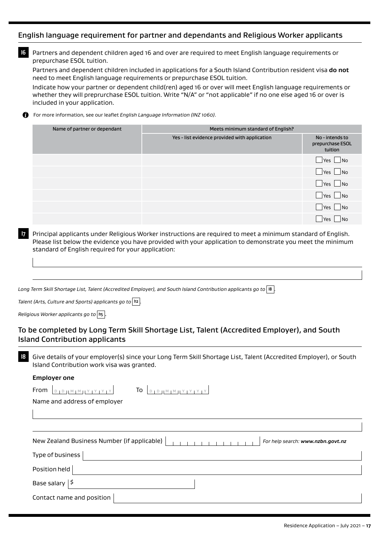## English language requirement for partner and dependants and Religious Worker applicants

**I6** Partners and dependent children aged 16 and over are required to meet English language requirements or prepurchase ESOL tuition.

Partners and dependent children included in applications for a South Island Contribution resident visa **do not** need to meet English language requirements or prepurchase ESOL tuition.

Indicate how your partner or dependent child(ren) aged 16 or over will meet English language requirements or whether they will preprurchase ESOL tuition. Write "N/A" or "not applicable" if no one else aged 16 or over is included in your application.

For more information, see our leaflet *English Language Information (INZ 1060)*. A

| Name of partner or dependant | Meets minimum standard of English?            |                                                |
|------------------------------|-----------------------------------------------|------------------------------------------------|
|                              | Yes - list evidence provided with application | No - intends to<br>prepurchase ESOL<br>tuition |
|                              |                                               | $\Box$ Yes $\Box$ No                           |
|                              |                                               | $\Box$ Yes $\Box$ No                           |
|                              |                                               | $\Box$ Yes $\Box$ No                           |
|                              |                                               | $\Box$ Yes $\Box$ No                           |
|                              |                                               | $\Box$ Yes $\Box$ No                           |
|                              |                                               | N <sub>O</sub><br>l Yes                        |

**I7** Principal applicants under Religious Worker instructions are required to meet a minimum standard of English. Please list below the evidence you have provided with your application to demonstrate you meet the minimum standard of English required for your application:

*Long Term Skill Shortage List, Talent (Accredited Employer), and South Island Contribution applicants go to* **I8** *.* 

*Talent (Arts, Culture and Sports) applicants go to* **I12** *.*

*Religious Worker applicants go to* |  $\text{II}_5$  |

# To be completed by Long Term Skill Shortage List, Talent (Accredited Employer), and South Island Contribution applicants

**I8** Give details of your employer(s) since your Long Term Skill Shortage List, Talent (Accredited Employer), or South Island Contribution work visa was granted.

| <b>Employer one</b> |  |  |
|---------------------|--|--|
|                     |  |  |

| To<br>From<br>$\begin{array}{c} 1 M H Y + Y + Y + Y \end{array}$<br>$Y + Y$      |
|----------------------------------------------------------------------------------|
| Name and address of employer                                                     |
|                                                                                  |
|                                                                                  |
| New Zealand Business Number (if applicable)<br>For help search: www.nzbn.govt.nz |
| Type of business                                                                 |
| Position held                                                                    |
| Base salary $ 5$                                                                 |
| Contact name and position                                                        |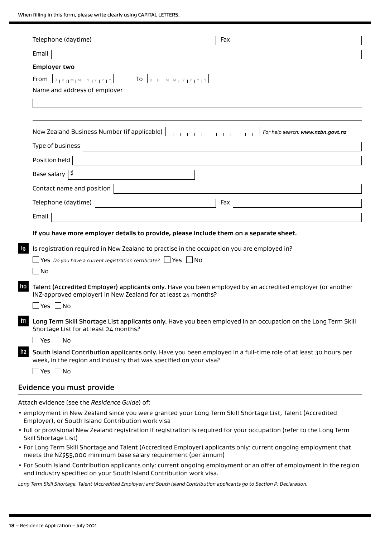When filling in this form, please write clearly using CAPITAL LETTERS.

|                                                                         | Telephone (daytime)                                                             | Fax                                                                                                               |
|-------------------------------------------------------------------------|---------------------------------------------------------------------------------|-------------------------------------------------------------------------------------------------------------------|
| Email                                                                   |                                                                                 |                                                                                                                   |
| <b>Employer two</b>                                                     |                                                                                 |                                                                                                                   |
| $D D D H M M M T Y T Y T Y T Y$<br>From<br>Name and address of employer | $\overline{10}$ $\sqrt{p_1 p_2}$ $\sqrt{M_1 M_1}$ $\sqrt{Y_1 Y_1 Y_2 Y_3}$      |                                                                                                                   |
|                                                                         | New Zealand Business Number (if applicable)                                     | For help search: www.nzbn.govt.nz<br><b>The Committee Committee Committee</b>                                     |
| Type of business                                                        |                                                                                 |                                                                                                                   |
| Position held                                                           |                                                                                 |                                                                                                                   |
| Base salary $ $$                                                        |                                                                                 |                                                                                                                   |
| Contact name and position                                               |                                                                                 |                                                                                                                   |
| Telephone (daytime)                                                     |                                                                                 | Fax                                                                                                               |
| Email                                                                   |                                                                                 |                                                                                                                   |
|                                                                         |                                                                                 | If you have more employer details to provide, please include them on a separate sheet.                            |
| No                                                                      | <b>Yes</b> Do you have a current registration certificate? $\Box$ Yes $\Box$ No | Is registration required in New Zealand to practise in the occupation you are employed in?                        |
| 110<br>_ Yes ∟ No                                                       | INZ-approved employer) in New Zealand for at least 24 months?                   | Talent (Accredited Employer) applicants only. Have you been employed by an accredited employer (or another        |
| Shortage List for at least 24 months?<br>$\Box$ Yes $\Box$ No           |                                                                                 | III Long Term Skill Shortage List applicants only. Have you been employed in an occupation on the Long Term Skill |
|                                                                         | week, in the region and industry that was specified on your visa?               | ID South Island Contribution applicants only. Have you been employed in a full-time role of at least 30 hours per |

Attach evidence (see the *Residence Guide*) of:

- employment in New Zealand since you were granted your Long Term Skill Shortage List, Talent (Accredited Employer), or South Island Contribution work visa
- full or provisional New Zealand registration if registration is required for your occupation (refer to the Long Term Skill Shortage List)
- For Long Term Skill Shortage and Talent (Accredited Employer) applicants only: current ongoing employment that meets the NZ\$55,000 minimum base salary requirement (per annum)
- For South Island Contribution applicants only: current ongoing employment or an offer of employment in the region and industry specified on your South Island Contribution work visa.

*Long Term Skill Shortage, Talent (Accredited Employer) and South Island Contribution applicants go to Section P: Declaration.*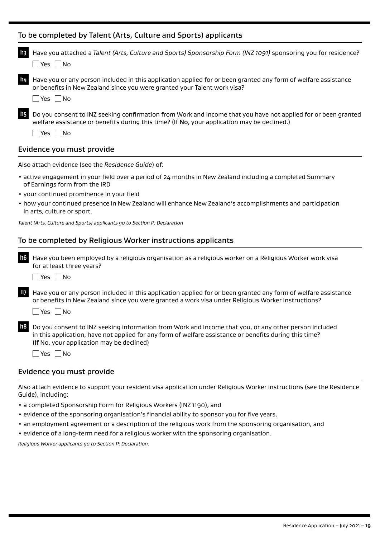## To be completed by Talent (Arts, Culture and Sports) applicants

| II3 | Have you attached a Talent (Arts, Culture and Sports) Sponsorship Form (INZ 1091) sponsoring you for residence?                                                                                                |
|-----|----------------------------------------------------------------------------------------------------------------------------------------------------------------------------------------------------------------|
|     | No<br>l Yes l                                                                                                                                                                                                  |
| 114 | Have you or any person included in this application applied for or been granted any form of welfare assistance<br>or benefits in New Zealand since you were granted your Talent work visa?<br>- I No<br>lYes l |
| 115 | Do you consent to INZ seeking confirmation from Work and Income that you have not applied for or been granted                                                                                                  |
|     | welfare assistance or benefits during this time? (If No, your application may be declined.)<br>- I No<br>- IYes I                                                                                              |
|     |                                                                                                                                                                                                                |
|     | Evidence you must provide                                                                                                                                                                                      |

Also attach evidence (see the *Residence Guide*) of:

- active engagement in your field over a period of 24 months in New Zealand including a completed Summary of Earnings form from the IRD
- your continued prominence in your field
- how your continued presence in New Zealand will enhance New Zealand's accomplishments and participation in arts, culture or sport.

*Talent (Arts, Culture and Sports) applicants go to Section P: Declaration*

### To be completed by Religious Worker instructions applicants

**I16** Have you been employed by a religious organisation as a religious worker on a Religious Worker work visa for at least three years?

 $\Box$ Yes  $\Box$ No

**I17** Have you or any person included in this application applied for or been granted any form of welfare assistance or benefits in New Zealand since you were granted a work visa under Religious Worker instructions?

 $\Box$ Yes  $\Box$ No

**I18** Do you consent to INZ seeking information from Work and Income that you, or any other person included in this application, have not applied for any form of welfare assistance or benefits during this time? (If No, your application may be declined)

 $\Box$ Yes  $\Box$ No

#### Evidence you must provide

Also attach evidence to support your resident visa application under Religious Worker instructions (see the Residence Guide), including:

- a completed Sponsorship Form for Religious Workers (INZ 1190), and
- evidence of the sponsoring organisation's financial ability to sponsor you for five years,
- an employment agreement or a description of the religious work from the sponsoring organisation, and
- evidence of a long-term need for a religious worker with the sponsoring organisation.

*Religious Worker applicants go to Section P: Declaration.*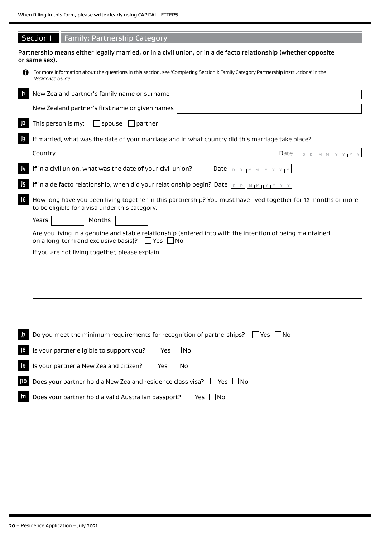|                 | <b>Family: Partnership Category</b><br>Section J                                                                                                                      |
|-----------------|-----------------------------------------------------------------------------------------------------------------------------------------------------------------------|
|                 | Partnership means either legally married, or in a civil union, or in a de facto relationship (whether opposite<br>or same sex).                                       |
|                 | For more information about the questions in this section, see 'Completing Section J: Family Category Partnership Instructions' in the<br>Residence Guide.             |
| $\vert$ 1       | New Zealand partner's family name or surname                                                                                                                          |
|                 | New Zealand partner's first name or given names                                                                                                                       |
|                 | This person is my:<br>$\Box$ spouse $\Box$ partner                                                                                                                    |
| $\overline{3}$  | If married, what was the date of your marriage and in what country did this marriage take place?                                                                      |
|                 | Country<br>Date<br>D   D     M   M     Y   Y   Y   Y                                                                                                                  |
| $\vert 4$       | If in a civil union, what was the date of your civil union?                                                                                                           |
| 15              | If in a de facto relationship, when did your relationship begin? Date $\int_{B} \log_{10} \frac{M}{M} \log_{10} \frac{N}{M}$                                          |
| J <sub>6</sub>  | How long have you been living together in this partnership? You must have lived together for 12 months or more<br>to be eligible for a visa under this category.      |
|                 | Years<br>Months                                                                                                                                                       |
|                 | Are you living in a genuine and stable relationship (entered into with the intention of being maintained<br>on a long-term and exclusive basis)? $\Box$ Yes $\Box$ No |
|                 | If you are not living together, please explain.                                                                                                                       |
|                 |                                                                                                                                                                       |
|                 |                                                                                                                                                                       |
|                 |                                                                                                                                                                       |
|                 |                                                                                                                                                                       |
|                 |                                                                                                                                                                       |
| $\overline{17}$ | Do you meet the minimum requirements for recognition of partnerships?<br>Yes<br>1No                                                                                   |
| 8               | Is your partner eligible to support you?<br>$\Box$ Yes $\Box$ No                                                                                                      |
| 9               | Is your partner a New Zealand citizen? $\Box$ Yes $\Box$ No                                                                                                           |
| J10             | Does your partner hold a New Zealand residence class visa? □ Yes<br>$\overline{\phantom{a}}$ No                                                                       |
| J11             | Does your partner hold a valid Australian passport? □ Yes □ No                                                                                                        |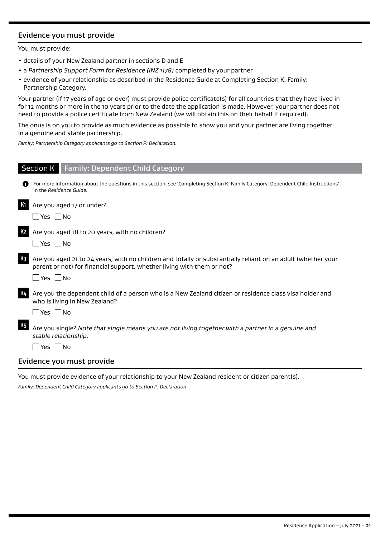# Evidence you must provide

You must provide:

- details of your New Zealand partner in sections D and E
- a *Partnership Support Form for Residence (INZ 1178)* completed by your partner
- evidence of your relationship as described in the Residence Guide at Completing Section K: Family: Partnership Category.

Your partner (if 17 years of age or over) must provide police certificate(s) for all countries that they have lived in for 12 months or more in the 10 years prior to the date the application is made. However, your partner does not need to provide a police certificate from New Zealand (we will obtain this on their behalf if required).

The onus is on you to provide as much evidence as possible to show you and your partner are living together in a genuine and stable partnership.

*Family: Partnership Category applicants go to Section P: Declaration.*

|                | <b>Section K</b> Family: Dependent Child Category                                                                                                                                                              |
|----------------|----------------------------------------------------------------------------------------------------------------------------------------------------------------------------------------------------------------|
| 61             | For more information about the questions in this section, see 'Completing Section K: Family Category: Dependent Child Instructions'<br>in the Residence Guide.                                                 |
| К1             | Are you aged 17 or under?                                                                                                                                                                                      |
|                | $\Box$ Yes $\Box$ No                                                                                                                                                                                           |
| К2             | Are you aged 18 to 20 years, with no children?<br>$\blacksquare$ Yes $\blacksquare$ No                                                                                                                         |
| K <sub>3</sub> | Are you aged 21 to 24 years, with no children and totally or substantially reliant on an adult (whether your<br>parent or not) for financial support, whether living with them or not?<br>$\Box$ Yes $\Box$ No |
| K4             | Are you the dependent child of a person who is a New Zealand citizen or residence class visa holder and<br>who is living in New Zealand?<br>$\Box$ Yes $\Box$ No                                               |
| К5             | Are you single? Note that single means you are not living together with a partner in a genuine and<br>stable relationship.<br>$\Box$ Yes $\Box$ No                                                             |
|                | Evidence you must provide                                                                                                                                                                                      |

You must provide evidence of your relationship to your New Zealand resident or citizen parent(s).

*Family: Dependent Child Category applicants go to Section P: Declaration.*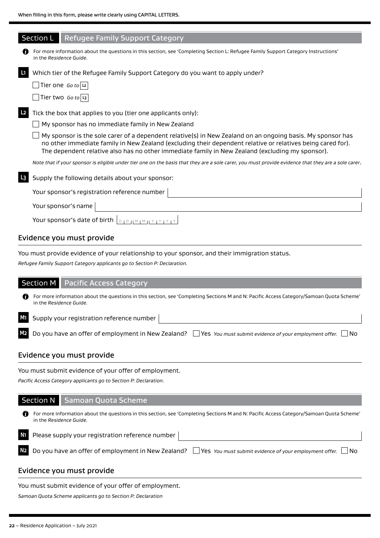|                | <b>Section L</b><br><b>Refugee Family Support Category</b>                                                                                                                                                                                                                                                                    |
|----------------|-------------------------------------------------------------------------------------------------------------------------------------------------------------------------------------------------------------------------------------------------------------------------------------------------------------------------------|
| 61             | For more information about the questions in this section, see 'Completing Section L: Refugee Family Support Category Instructions'<br>in the Residence Guide.                                                                                                                                                                 |
| $\mathbf{L}$   | Which tier of the Refugee Family Support Category do you want to apply under?                                                                                                                                                                                                                                                 |
|                | $\sqrt{\frac{1}{1}}$ Tier one Goto $\sqrt{2}$                                                                                                                                                                                                                                                                                 |
|                | Tier two Go to $\boxed{13}$                                                                                                                                                                                                                                                                                                   |
| L <sub>2</sub> | Tick the box that applies to you (tier one applicants only):                                                                                                                                                                                                                                                                  |
|                | My sponsor has no immediate family in New Zealand                                                                                                                                                                                                                                                                             |
|                | My sponsor is the sole carer of a dependent relative(s) in New Zealand on an ongoing basis. My sponsor has<br>no other immediate family in New Zealand (excluding their dependent relative or relatives being cared for).<br>The dependent relative also has no other immediate family in New Zealand (excluding my sponsor). |
|                | Note that if your sponsor is eligible under tier one on the basis that they are a sole carer, you must provide evidence that they are a sole carer.                                                                                                                                                                           |
| L <sub>3</sub> | Supply the following details about your sponsor:                                                                                                                                                                                                                                                                              |
|                | Your sponsor's registration reference number                                                                                                                                                                                                                                                                                  |
|                | Your sponsor's name                                                                                                                                                                                                                                                                                                           |
|                | Your sponsor's date of birth<br>$D + D + M + M + Y + Y +$                                                                                                                                                                                                                                                                     |
|                |                                                                                                                                                                                                                                                                                                                               |

#### Evidence you must provide

You must provide evidence of your relationship to your sponsor, and their immigration status.

*Refugee Family Support Category applicants go to Section P: Declaration.*

# Section M | Pacific Access Category For more information about the questions in this section, see 'Completing Sections M and N: Pacific Access Category/Samoan Quota Scheme' ➊ in the *Residence Guide.* **M1** Supply your registration reference number Do you have an offer of employment in New Zealand? □ Yes *You must submit evidence of your employment offer.* □ No

#### Evidence you must provide

You must submit evidence of your offer of employment.

*Pacific Access Category applicants go to Section P: Declaration.*

#### Section N Samoan Quota Scheme

For more information about the questions in this section, see 'Completing Sections M and N: Pacific Access Category/Samoan Quota Scheme' A in the *Residence Guide.*

| $\overline{\text{Ni}}$ Please supply your registration reference number $ $                                                               |  |
|-------------------------------------------------------------------------------------------------------------------------------------------|--|
| N <sub>2</sub> Do you have an offer of employment in New Zealand? $\Box$ Yes You must submit evidence of your employment offer. $\Box$ No |  |

#### Evidence you must provide

You must submit evidence of your offer of employment.

*Samoan Quota Scheme applicants go to Section P: Declaration*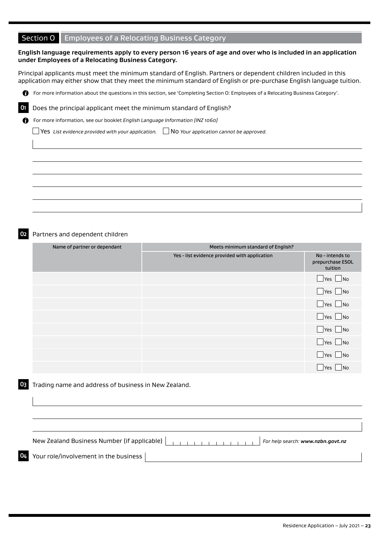# Section O Employees of a Relocating Business Category

#### **English language requirements apply to every person 16 years of age and over who is included in an application under Employees of a Relocating Business Category.**

Principal applicants must meet the minimum standard of English. Partners or dependent children included in this application may either show that they meet the minimum standard of English or pre-purchase English language tuition.



**O1** Does the principal applicant meet the minimum standard of English?

For more information, see our booklet *English Language Information [INZ 1060]*

Yes *List evidence provided with your application.* No *Your application cannot be approved.*

**O2** Partners and dependent children

A

| Name of partner or dependant | Meets minimum standard of English?            |                                                |
|------------------------------|-----------------------------------------------|------------------------------------------------|
|                              | Yes - list evidence provided with application | No - intends to<br>prepurchase ESOL<br>tuition |
|                              |                                               | $\Box$ Yes $\Box$ No                           |
|                              |                                               | $\Box$ Yes $\Box$ No                           |
|                              |                                               | $\Box$ Yes $\Box$ No                           |
|                              |                                               | $\Box$ Yes $\Box$ No                           |
|                              |                                               | $\Box$ Yes $\Box$ No                           |
|                              |                                               | $\Box$ Yes $\Box$ No                           |
|                              |                                               | $Yes$ No                                       |
|                              |                                               | Yes No                                         |

#### **O3** Trading name and address of business in New Zealand.

New Zealand Business Number (if applicable) **For Formation For help search:** [www.nzbn.govt.nz](http://www.nzbn.govt.nz)

**O4** Your role/involvement in the business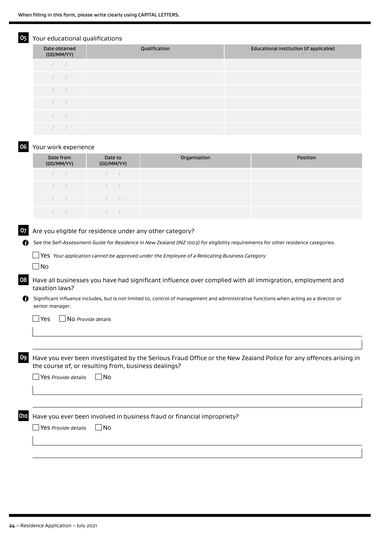### Your educational qualifications

| Date obtained<br>(DD/MM/YY) | Qualification | Educational institution (if applicable) |
|-----------------------------|---------------|-----------------------------------------|
|                             |               |                                         |
|                             |               |                                         |
|                             |               |                                         |
|                             |               |                                         |
|                             |               |                                         |
|                             |               |                                         |

#### **O6** Your work experience

| Date from<br>(DD/MM/YY) | Date to<br>(DD/MM/YY)                                                                                                                                                                                                                                                                                                              | Organisation | <b>Position</b> |
|-------------------------|------------------------------------------------------------------------------------------------------------------------------------------------------------------------------------------------------------------------------------------------------------------------------------------------------------------------------------|--------------|-----------------|
| $\sqrt{2}$              | $\sqrt{2}$                                                                                                                                                                                                                                                                                                                         |              |                 |
| $\sqrt{2}$              | $\sqrt{2}$                                                                                                                                                                                                                                                                                                                         |              |                 |
| $\sqrt{2}$              | $\overline{a}$ and $\overline{a}$ and $\overline{a}$ and $\overline{a}$ and $\overline{a}$ and $\overline{a}$ and $\overline{a}$ and $\overline{a}$ and $\overline{a}$ and $\overline{a}$ and $\overline{a}$ and $\overline{a}$ and $\overline{a}$ and $\overline{a}$ and $\overline{a}$ and $\overline{a}$ and $\overline{a}$ and |              |                 |
|                         |                                                                                                                                                                                                                                                                                                                                    |              |                 |

#### **O7** Are you eligible for residence under any other category?

See the *Self-Assessment Guide for Residence in New Zealand (INZ 1003)* for eligibility requirements for other residence categories.

Yes *Your application cannot be approved under the Employee of a Relocating Business Category*

 $\Box$ No

**O8** Have all businesses you have had significant influence over complied with all immigration, employment and taxation laws?

Significant influence includes, but is not limited to, control of management and administrative functions when acting as a director or senior manager.

Yes No *Provide details*

**O9** Have you ever been investigated by the Serious Fraud Office or the New Zealand Police for any offences arising in the course of, or resulting from, business dealings?

| $\Box$ Yes Provide details | $\Box$ No |
|----------------------------|-----------|
|----------------------------|-----------|

**O10** Have you ever been involved in business fraud or financial impropriety?

Yes *Provide details* No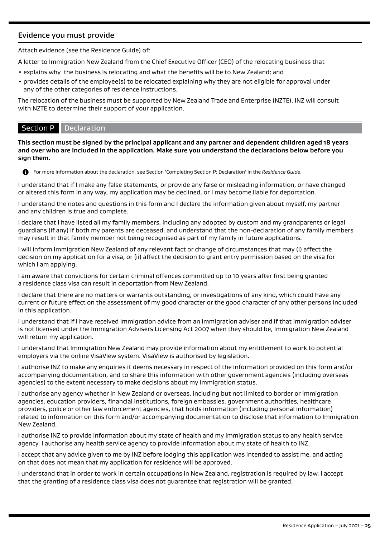# Evidence you must provide

Attach evidence (see the Residence Guide) of:

A letter to Immigration New Zealand from the Chief Executive Officer (CEO) of the relocating business that

- explains why the business is relocating and what the benefits will be to New Zealand; and
- provides details of the employee(s) to be relocated explaining why they are not eligible for approval under any of the other categories of residence instructions.

The relocation of the business must be supported by New Zealand Trade and Enterprise (NZTE). INZ will consult with NZTE to determine their support of your application.

# Section P Declaration

**This section must be signed by the principal applicant and any partner and dependent children aged 18 years and over who are included in the application. Make sure you understand the declarations below before you sign them.**



For more information about the declaration, see Section 'Completing Section P: Declaration' in the *Residence Guide*.

I understand that if I make any false statements, or provide any false or misleading information, or have changed or altered this form in any way, my application may be declined, or I may become liable for deportation.

I understand the notes and questions in this form and I declare the information given about myself, my partner and any children is true and complete.

I declare that I have listed all my family members, including any adopted by custom and my grandparents or legal guardians (if any) if both my parents are deceased, and understand that the non-declaration of any family members may result in that family member not being recognised as part of my family in future applications.

I will inform Immigration New Zealand of any relevant fact or change of circumstances that may (i) affect the decision on my application for a visa, or (ii) affect the decision to grant entry permission based on the visa for which I am applying.

I am aware that convictions for certain criminal offences committed up to 10 years after first being granted a residence class visa can result in deportation from New Zealand.

I declare that there are no matters or warrants outstanding, or investigations of any kind, which could have any current or future effect on the assessment of my good character or the good character of any other persons included in this application.

I understand that if I have received immigration advice from an immigration adviser and if that immigration adviser is not licensed under the Immigration Advisers Licensing Act 2007 when they should be, Immigration New Zealand will return my application.

I understand that Immigration New Zealand may provide information about my entitlement to work to potential employers via the online VisaView system. VisaView is authorised by legislation.

I authorise INZ to make any enquiries it deems necessary in respect of the information provided on this form and/or accompanying documentation, and to share this information with other government agencies (including overseas agencies) to the extent necessary to make decisions about my immigration status.

I authorise any agency whether in New Zealand or overseas, including but not limited to border or immigration agencies, education providers, financial institutions, foreign embassies, government authorities, healthcare providers, police or other law enforcement agencies, that holds information (including personal information) related to information on this form and/or accompanying documentation to disclose that information to Immigration New Zealand.

I authorise INZ to provide information about my state of health and my immigration status to any health service agency. I authorise any health service agency to provide information about my state of health to INZ.

I accept that any advice given to me by INZ before lodging this application was intended to assist me, and acting on that does not mean that my application for residence will be approved.

I understand that in order to work in certain occupations in New Zealand, registration is required by law. I accept that the granting of a residence class visa does not guarantee that registration will be granted.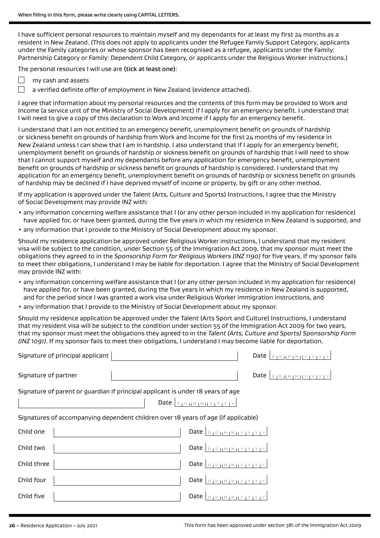I have sufficient personal resources to maintain myself and my dependants for at least my first 24 months as a resident in New Zealand. (This does not apply to applicants under the Refugee Family Support Category, applicants under the Family categories or whose sponsor has been recognised as a refugee, applicants under the Family: Partnership Category or Family: Dependent Child Category, or applicants under the Religious Worker instructions.)

The personal resources I will use are (tick at least one):

- П my cash and assets
	- a verified definite offer of employment in New Zealand (evidence attached).

I agree that information about my personal resources and the contents of this form may be provided to Work and Income (a service unit of the Ministry of Social Development) if I apply for an emergency benefit. I understand that I will need to give a copy of this declaration to Work and Income if I apply for an emergency benefit.

I understand that I am not entitled to an emergency benefit, unemployment benefit on grounds of hardship or sickness benefit on grounds of hardship from Work and Income for the first 24 months of my residence in New Zealand unless I can show that I am in hardship. I also understand that if I apply for an emergency benefit, unemployment benefit on grounds of hardship or sickness benefit on grounds of hardship that I will need to show that I cannot support myself and my dependants before any application for emergency benefit, unemployment benefit on grounds of hardship or sickness benefit on grounds of hardship is considered. I understand that my application for an emergency benefit, unemployment benefit on grounds of hardship or sickness benefit on grounds of hardship may be declined if I have deprived myself of income or property, by gift or any other method.

If my application is approved under the Talent (Arts, Culture and Sports) Instructions, I agree that the Ministry of Social Development may provide INZ with:

- any information concerning welfare assistance that I (or any other person included in my application for residence) have applied for, or have been granted, during the five years in which my residence in New Zealand is supported, and
- any information that I provide to the Ministry of Social Development about my sponsor.

Should my residence application be approved under Religious Worker instructions, I understand that my resident visa will be subject to the condition, under Section 55 of the Immigration Act 2009, that my sponsor must meet the obligations they agreed to in the *Sponsorship Form for Religious Workers (INZ 1190)* for five years. If my sponsor fails to meet their obligations, I understand I may be liable for deportation. I agree that the Ministry of Social Development may provide INZ with:

- any information concerning welfare assistance that I (or any other person included in my application for residence) have applied for, or have been granted, during the five years in which my residence in New Zealand is supported, and for the period since I was granted a work visa under Religious Worker immigration instructions, and
- any information that I provide to the Ministry of Social Development about my sponsor.

Should my residence application be approved under the Talent (Arts Sport and Culture) Instructions, I understand that my resident visa will be subject to the condition under section 55 of the Immigration Act 2009 for two years, that my sponsor must meet the obligations they agreed to in the *Talent (Arts, Culture and Sports) Sponsorship Form (INZ 1091)*. If my sponsor fails to meet their obligations, I understand I may become liable for deportation.

| Signature of principal applicant                                                   |                                             |
|------------------------------------------------------------------------------------|---------------------------------------------|
| Signature of partner                                                               | Date $\vert_{\text{DIPHMIMINY}$             |
| Signature of parent or guardian if principal applicant is under 18 years of age    |                                             |
| Signatures of accompanying dependent children over 18 years of age (if applicable) |                                             |
| Child one                                                                          | Date $\vert_{\text{DIPHMIMIVIVIVIV}}$       |
| Child two                                                                          | Date $\vert_{\text{DIPHMMMYTYTYY}}$         |
| Child three                                                                        | Date $D_{1}D_{1}M_{1}M_{1}Y_{1}Y_{1}Y_{1}Y$ |
| Child four                                                                         | Date $\Box$                                 |
| Child five                                                                         | Date $ $<br>$M + M + Y + Y +$               |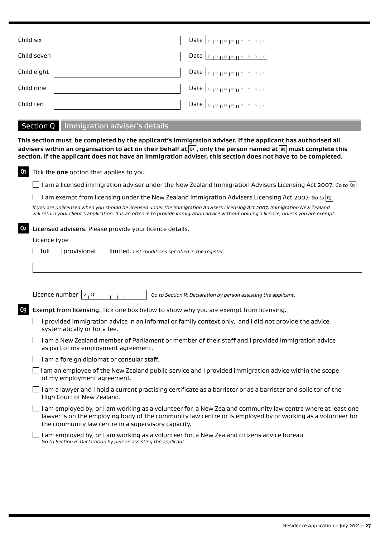| Child six   | Date $\left  \begin{array}{c} 0 & 0 \\ 0 & 1 \end{array} \right $ M $\left  \begin{array}{c} 0 & 0 \\ 0 & 1 \end{array} \right $ |
|-------------|----------------------------------------------------------------------------------------------------------------------------------|
| Child seven | Date $\left  \begin{array}{c} 0 & \text{if } m \neq 1 \end{array} \right $                                                       |
| Child eight | Date $\vert_{D+D+ M+M+1 Y+Y+Y} $                                                                                                 |
| Child nine  |                                                                                                                                  |
| Child ten   |                                                                                                                                  |

# Section Q Immigration adviser's details

**This section must be completed by the applicant's immigration adviser. If the applicant has authorised all advisers within an organisation to act on their behalf at B5 , only the person named at B3 must complete this section. If the applicant does not have an immigration adviser, this section does not have to be completed.**

| Tick the one option that applies to you.                                                                                                                                                                                                                                          |
|-----------------------------------------------------------------------------------------------------------------------------------------------------------------------------------------------------------------------------------------------------------------------------------|
|                                                                                                                                                                                                                                                                                   |
| I am a licensed immigration adviser under the New Zealand Immigration Advisers Licensing Act 2007. Go to $\alpha$                                                                                                                                                                 |
| am exempt from licensing under the New Zealand Immigration Advisers Licensing Act 2007. Go to $ s $                                                                                                                                                                               |
| If you are unlicensed when you should be licensed under the Immigration Advisers Licensing Act 2007, Immigration New Zealand<br>will return your client's application. It is an offence to provide immigration advice without holding a licence, unless you are exempt.           |
| Licensed advisers. Please provide your licence details.                                                                                                                                                                                                                           |
| Licence type                                                                                                                                                                                                                                                                      |
| $\Box$ full $\Box$ provisional $\Box$ limited. List conditions specified in the register.                                                                                                                                                                                         |
|                                                                                                                                                                                                                                                                                   |
|                                                                                                                                                                                                                                                                                   |
| Licence number $ 2, 0$<br>Go to Section R: Declaration by person assisting the applicant.                                                                                                                                                                                         |
| Exempt from licensing. Tick one box below to show why you are exempt from licensing.                                                                                                                                                                                              |
| I provided immigration advice in an informal or family context only, and I did not provide the advice<br>systematically or for a fee.                                                                                                                                             |
| I am a New Zealand member of Parliament or member of their staff and I provided immigration advice<br>as part of my employment agreement.                                                                                                                                         |
| I am a foreign diplomat or consular staff.                                                                                                                                                                                                                                        |
| I am an employee of the New Zealand public service and I provided immigration advice within the scope<br>of my employment agreement.                                                                                                                                              |
| I am a lawyer and I hold a current practising certificate as a barrister or as a barrister and solicitor of the<br>High Court of New Zealand.                                                                                                                                     |
| I am employed by, or I am working as a volunteer for, a New Zealand community law centre where at least one<br>lawyer is on the employing body of the community law centre or is employed by or working as a volunteer for<br>the community law centre in a supervisory capacity. |
| I am employed by, or I am working as a volunteer for, a New Zealand citizens advice bureau.<br>Go to Section R: Declaration by person assisting the applicant.                                                                                                                    |
|                                                                                                                                                                                                                                                                                   |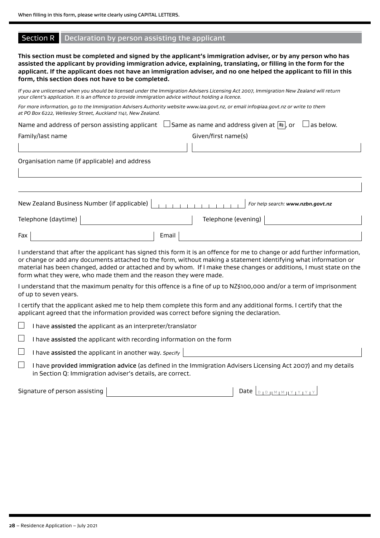### Section R Declaration by person assisting the applicant

**This section must be completed and signed by the applicant's immigration adviser, or by any person who has assisted the applicant by providing immigration advice, explaining, translating, or filling in the form for the applicant. If the applicant does not have an immigration adviser, and no one helped the applicant to fill in this form, this section does not have to be completed.**

*If you are unlicensed when you should be licensed under the Immigration Advisers Licensing Act 2007, Immigration New Zealand will return your client's application. It is an offence to provide immigration advice without holding a licence.*

| For more information, go to the Immigration Advisers Authority website www.iaa.govt.nz, or email info@iaa.govt.nz or write to them |  |
|------------------------------------------------------------------------------------------------------------------------------------|--|
| at PO Box 6222, Wellesley Street, Auckland 1141, New Zealand.                                                                      |  |

|                  | Name and address of person assisting applicant $\Box$ Same as name and address given at $\Box$ , or $\Box$ as below. |  |
|------------------|----------------------------------------------------------------------------------------------------------------------|--|
| Family/last name | Given/first name(s)                                                                                                  |  |

Organisation name (if applicable) and address

|                     | New Zealand Business Number (if applicable) |                     | For help search: www.nzbn.govt.nz |
|---------------------|---------------------------------------------|---------------------|-----------------------------------|
| Telephone (daytime) |                                             | Telephone (evening) |                                   |
| Fax                 | Email                                       |                     |                                   |

I understand that after the applicant has signed this form it is an offence for me to change or add further information, or change or add any documents attached to the form, without making a statement identifying what information or material has been changed, added or attached and by whom. If I make these changes or additions, I must state on the form what they were, who made them and the reason they were made.

I understand that the maximum penalty for this offence is a fine of up to NZ\$100,000 and/or a term of imprisonment of up to seven years.

I certify that the applicant asked me to help them complete this form and any additional forms. I certify that the applicant agreed that the information provided was correct before signing the declaration.

|  | I have assisted the applicant as an interpreter/translator |
|--|------------------------------------------------------------|
|--|------------------------------------------------------------|

 $\Box$  I have assisted the applicant with recording information on the form

 $\Box$ I have assisted the applicant in another way. *Specify*

 $\Box$  I have provided immigration advice (as defined in the Immigration Advisers Licensing Act 2007) and my details in Section Q: Immigration adviser's details, are correct.

| Signature of person assisting |  |  |  |
|-------------------------------|--|--|--|
|-------------------------------|--|--|--|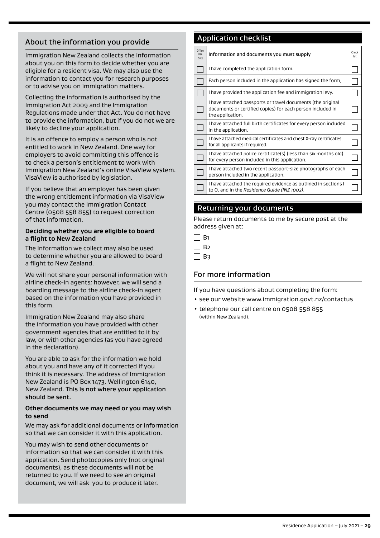# About the information you provide

Immigration New Zealand collects the information about you on this form to decide whether you are eligible for a resident visa. We may also use the information to contact you for research purposes or to advise you on immigration matters.

Collecting the information is authorised by the Immigration Act 2009 and the Immigration Regulations made under that Act. You do not have to provide the information, but if you do not we are likely to decline your application.

It is an offence to employ a person who is not entitled to work in New Zealand. One way for employers to avoid committing this offence is to check a person's entitlement to work with Immigration New Zealand's online VisaView system. VisaView is authorised by legislation.

If you believe that an employer has been given the wrong entitlement information via VisaView you may contact the Immigration Contact Centre (0508 558 855) to request correction of that information.

#### **Deciding whether you are eligible to board a flight to New Zealand**

The information we collect may also be used to determine whether you are allowed to board a flight to New Zealand.

We will not share your personal information with airline check-in agents; however, we will send a boarding message to the airline check-in agent based on the information you have provided in this form.

Immigration New Zealand may also share the information you have provided with other government agencies that are entitled to it by law, or with other agencies (as you have agreed in the declaration).

You are able to ask for the information we hold about you and have any of it corrected if you think it is necessary. The address of Immigration New Zealand is PO Box 1473, Wellington 6140, New Zealand. This is not where your application should be sent.

#### **Other documents we may need or you may wish to send**

We may ask for additional documents or information so that we can consider it with this application.

You may wish to send other documents or information so that we can consider it with this application. Send photocopies only (not original documents), as these documents will not be returned to you. If we need to see an original document, we will ask you to produce it later.

# Application checklist

| Office<br>Use<br>only | Information and documents you must supply                                                                                                     | Check<br>list |
|-----------------------|-----------------------------------------------------------------------------------------------------------------------------------------------|---------------|
|                       | I have completed the application form.                                                                                                        |               |
|                       | Each person included in the application has signed the form.                                                                                  |               |
|                       | I have provided the application fee and immigration levy.                                                                                     |               |
|                       | I have attached passports or travel documents (the original<br>documents or certified copies) for each person included in<br>the application. |               |
|                       | I have attached full birth certificates for every person included<br>in the application.                                                      |               |
|                       | I have attached medical certificates and chest X-ray certificates<br>for all applicants if required.                                          |               |
|                       | I have attached police certificate(s) (less than six months old)<br>for every person included in this application.                            |               |
|                       | I have attached two recent passport-size photographs of each<br>person included in the application.                                           |               |
|                       | I have attached the required evidence as outlined in sections I<br>to O, and in the Residence Guide (INZ 1002).                               |               |

# Returning your documents

Please return documents to me by secure post at the address given at:

| ×<br>J |
|--------|
|        |

 $\Box$  B<sub>3</sub>

# For more information

If you have questions about completing the form:

- see our website www.immigration.govt.nz/contactus
- telephone our call centre on 0508 558 855 (within New Zealand).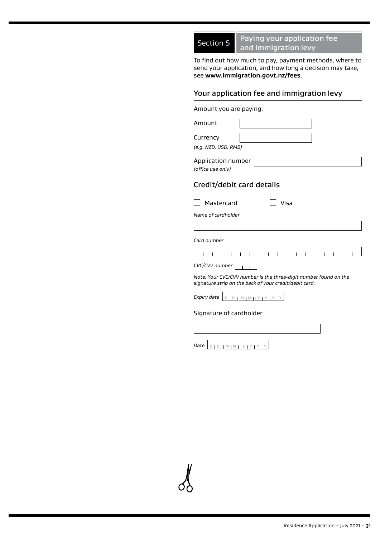Section S Paying your application fee and immigration levy

To find out how much to pay, payment methods, where to send your application, and how long a decision may take, see **www.immigration.govt.nz/fees**.

# Your application fee and immigration levy

Amount you are paying: Amount

Currency

*(e.g. NZD, USD, RMB)*

Application number *(office use only)*

# Credit/debit card details

*Name of cardholder*

Mastercard Visa

*Card number*

| $CVC/CVV$ number $\vert \vert$ |  |  |  |  |  |  |  |  |  |
|--------------------------------|--|--|--|--|--|--|--|--|--|

*Note: Your CVC/CVV number is the three-digit number found on the* 

*signature strip on the back of your credit/debit card.*

*Expiry date* **D D | M | M | Y | Y | Y | Y** 

Signature of cardholder

**Date** D | D || M | M || Y | Y | Y | Y